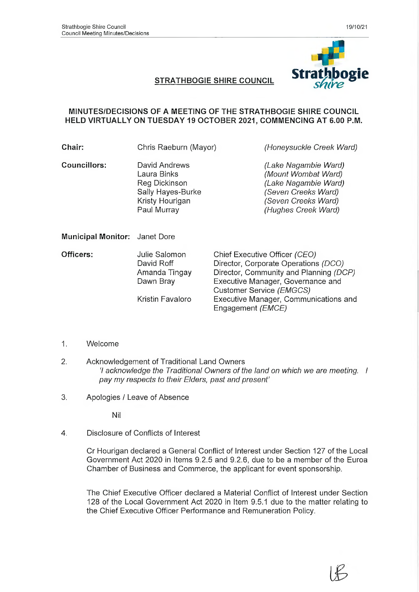

#### **MINUTES/DECISIONS OF A MEETING OF THE STRATHBOGIE SHIRE COUNCIL HELD VIRTUALLY ON TUESDAY 19 OCTOBER 2021, COMMENCING AT 6.00 P.M.**

| Chair:                        | Chris Raeburn (Mayor)                                                                                | (Honeysuckle Creek Ward)                                                                                                                                                                                                                       |  |
|-------------------------------|------------------------------------------------------------------------------------------------------|------------------------------------------------------------------------------------------------------------------------------------------------------------------------------------------------------------------------------------------------|--|
| Councillors:                  | David Andrews<br>Laura Binks<br>Reg Dickinson<br>Sally Hayes-Burke<br>Kristy Hourigan<br>Paul Murray | (Lake Nagambie Ward)<br>(Mount Wombat Ward)<br>(Lake Nagambie Ward)<br>(Seven Creeks Ward)<br>(Seven Creeks Ward)<br>(Hughes Creek Ward)                                                                                                       |  |
| Municipal Monitor: Janet Dore |                                                                                                      |                                                                                                                                                                                                                                                |  |
| Officers:                     | Julie Salomon<br>David Roff<br>Amanda Tingay<br>Dawn Bray<br>Kristin Favaloro                        | Chief Executive Officer (CEO)<br>Director, Corporate Operations (DCO)<br>Director, Community and Planning (DCP)<br>Executive Manager, Governance and<br>Customer Service (EMGCS)<br>Executive Manager, Communications and<br>Engagement (EMCE) |  |

- 1. Welcome
- 2. Acknowledgement of Traditional Land Owners *'I acknowledge the Traditional Owners of the land on which we are meeting. I pay my respects to their Elders, past and present'*
- 3. Apologies / Leave of Absence

Nil

4. Disclosure of Conflicts of Interest

Cr Hourigan declared a General Conflict of Interest under Section 127 of the Local Government Act 2020 in Items 9.2.5 and 9.2.6, due to be a member of the Euroa Chamber of Business and Commerce, the applicant for event sponsorship.

The Chief Executive Officer declared a Material Conflict of Interest under Section 128 of the Local Government Act 2020 in Item 9.5.1 due to the matter relating to the Chief Executive Officer Performance and Remuneration Policy.

**(J?**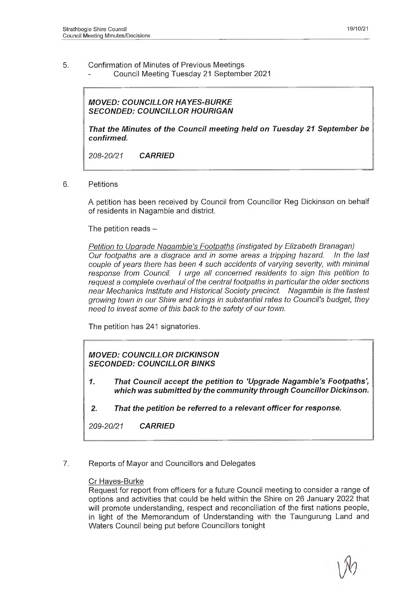- 5. Confirmation of Minutes of Previous Meetings
	- Council Meeting Tuesday 21 September 2021

*MOVED: COUNCILLOR HAYES-BURKE SECONDED: COUNCILLOR HOURIGAN*

*That the Minutes of the Council meeting held on Tuesday 21 September be confirmed.*

*208-20/21 CARRIED*

6. Petitions

A petition has been received by Council from Councillor Reg Dickinson on behalf of residents in Nagambie and district.

The petition reads  $-$ 

*Petition to Upgrade Nagambie's Footpaths (instigated by Elizabeth Branagan) Our footpaths are a disgrace and in some areas a tripping hazard. In the last couple of years there has been 4 such accidents of varying severity, with minimal response from Council. I urge all concerned residents to sign this petition to request a complete overhaul of the central footpaths in particular the older sections near Mechanics Institute and Historical Society precinct. Nagambie is the fastest growing town in our Shire and brings in substantial rates to Council's budget, they need to invest some of this back to the safety of our town.*

The petition has 241 signatories.

## *MOVED: COUNCILLOR DICKINSON SECONDED: COUNCILLOR BINKS*

- *1. That Council accept the petition to 'Upgrade Nagambie's Footpaths', which was submitted by the community through Councillor Dickinson.*
- *2. That the petition be referred to a relevant officer for response.*

*209-20/21 CARRIED*

#### *7.* Reports of Mayor and Councillors and Delegates

#### Cr Hayes-Burke

Request for report from officers for a future Council meeting to consider a range of options and activities that could be held within the Shire on 26 January 2022 that will promote understanding, respect and reconciliation of the first nations people, in light of the Memorandum of Understanding with the Taungurung Land and Waters Council being put before Councillors tonight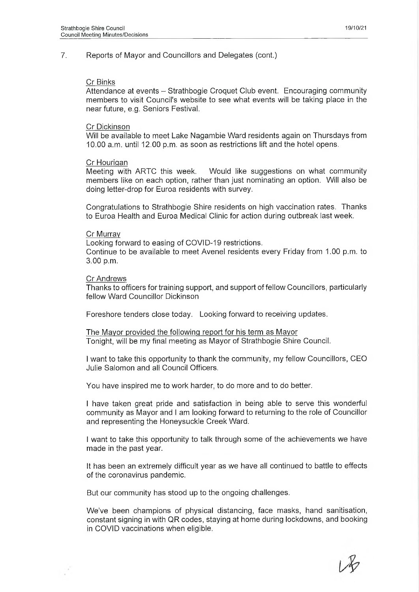#### Cr Binks

Attendance at events – Strathbogie Croquet Club event. Encouraging community members to visit Council's website to see what events will be taking place in the near future, e.g. Seniors Festival.

#### Cr Dickinson

Will be available to meet Lake Nagambie Ward residents again on Thursdays from 10.00 a.m. until 12.00 p.m. as soon as restrictions lift and the hotel opens.

#### Cr Hourigan

Meeting with ARTC this week. Would like suggestions on what community members like on each option, rather than just nominating an option. Will also be doing letter-drop for Euroa residents with survey.

Congratulations to Strathbogie Shire residents on high vaccination rates. Thanks to Euroa Health and Euroa Medical Clinic for action during outbreak last week.

#### Cr Murray

Looking forward to easing of COVID-19 restrictions. Continue to be available to meet Avenel residents every Friday from 1.00 p.m. to 3.00 p.m.

#### Cr Andrews

Thanks to officers for training support, and support of fellow Councillors, particularly fellow Ward Councillor Dickinson

Foreshore tenders close today. Looking forward to receiving updates.

The Mayor provided the following report for his term as Mayor Tonight, will be my final meeting as Mayor of Strathbogie Shire Council.

I want to take this opportunity to thank the community, my fellow Councillors, CEO Julie Salomon and all Council Officers.

You have inspired me to work harder, to do more and to do better.

I have taken great pride and satisfaction in being able to serve this wonderful community as Mayor and I am looking forward to returning to the role of Councillor and representing the Honeysuckle Creek Ward.

I want to take this opportunity to talk through some of the achievements we have made in the past year.

It has been an extremely difficult year as we have all continued to battle to effects of the coronavirus pandemic.

But our community has stood up to the ongoing challenges.

We've been champions of physical distancing, face masks, hand sanitisation, constant signing in with QR codes, staying at home during lockdowns, and booking in COVID vaccinations when eligible.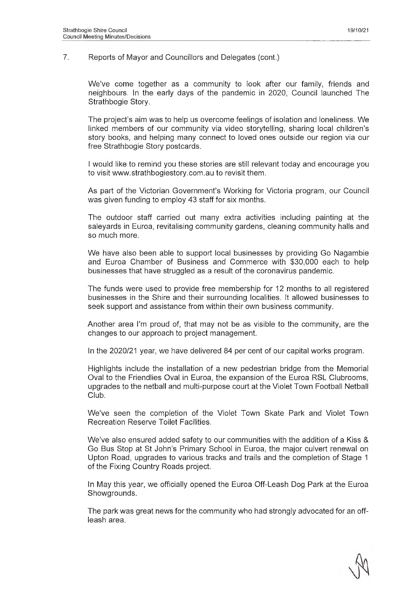We've come together as a community to look after our family, friends and neighbours. In the early days of the pandemic in 2020, Council launched The Strathbogie Story.

The project's aim was to help us overcome feelings of isolation and loneliness. We linked members of our community via video storytelling, sharing local children's story books, and helping many connect to loved ones outside our region via our free Strathbogie Story postcards.

I would like to remind you these stories are still relevant today and encourage you to visit [www.strathbogiestory.com.au](http://www.strathbogiestory.com.au) to revisit them.

As part of the Victorian Government's Working for Victoria program, our Council was given funding to employ 43 staff for six months.

The outdoor staff carried out many extra activities including painting at the saleyards in Euroa, revitalising community gardens, cleaning community halls and so much more.

We have also been able to support local businesses by providing Go Nagambie and Euroa Chamber of Business and Commerce with \$30,000 each to help businesses that have struggled as a result of the coronavirus pandemic.

The funds were used to provide free membership for 12 months to all registered businesses in the Shire and their surrounding localities. It allowed businesses to seek support and assistance from within their own business community.

Another area I'm proud of, that may not be as visible to the community, are the changes to our approach to project management.

In the 2020/21 year, we have delivered 84 per cent of our capital works program.

Highlights include the installation of a new pedestrian bridge from the Memorial Oval to the Friendlies Oval in Euroa, the expansion of the Euroa RSL Clubrooms, upgrades to the netball and multi-purpose court at the Violet Town Football Netball Club.

We've seen the completion of the Violet Town Skate Park and Violet Town Recreation Reserve Toilet Facilities.

We've also ensured added safety to our communities with the addition of a Kiss & Go Bus Stop at St John's Primary School in Euroa, the major culvert renewal on Upton Road, upgrades to various tracks and trails and the completion of Stage 1 of the Fixing Country Roads project.

In May this year, we officially opened the Euroa Off-Leash Dog Park at the Euroa Showgrounds.

The park was great news for the community who had strongly advocated for an offleash area.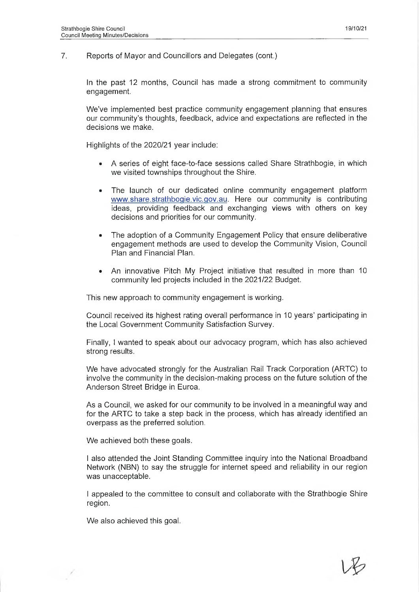In the past 12 months, Council has made a strong commitment to community engagement.

We've implemented best practice community engagement planning that ensures our community's thoughts, feedback, advice and expectations are reflected in the decisions we make.

Highlights of the 2020/21 year include:

- ® A series of eight face-to-face sessions called Share Strathbogie, in which we visited townships throughout the Shire.
- The launch of our dedicated online community engagement platform [www.share.strathbogie.vic.gov.au.](http://www.share.strathbogie.vic.gov.au) Here our community is contributing ideas, providing feedback and exchanging views with others on key decisions and priorities for our community.
- The adoption of a Community Engagement Policy that ensure deliberative engagement methods are used to develop the Community Vision, Council Plan and Financial Plan.
- An innovative Pitch My Project initiative that resulted in more than 10 community led projects included in the 2021/22 Budget.

This new approach to community engagement is working.

Council received its highest rating overall performance in 10 years' participating in the Local Government Community Satisfaction Survey.

Finally, I wanted to speak about our advocacy program, which has also achieved strong results.

We have advocated strongly for the Australian Rail Track Corporation (ARTC) to involve the community in the decision-making process on the future solution of the Anderson Street Bridge in Euroa.

As a Council, we asked for our community to be involved in a meaningful way and for the ARTC to take a step back in the process, which has already identified an overpass as the preferred solution.

We achieved both these goals.

I also attended the Joint Standing Committee inquiry into the National Broadband Network (NBN) to say the struggle for internet speed and reliability in our region was unacceptable.

I appealed to the committee to consult and collaborate with the Strathbogie Shire region.

We also achieved this goal.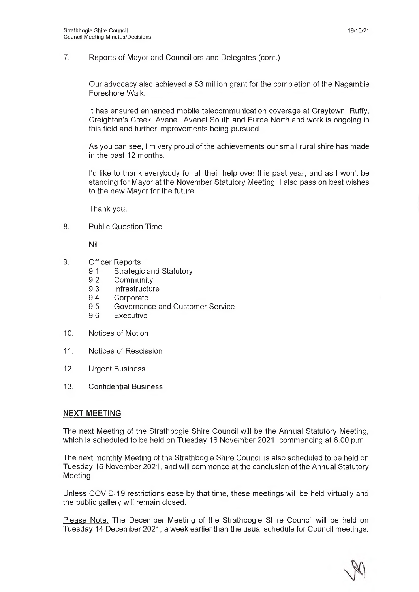Our advocacy also achieved a \$3 million grant for the completion of the Nagambie Foreshore Walk.

It has ensured enhanced mobile telecommunication coverage at Graytown, Ruffy, Creighton's Creek, Avenel, Avenel South and Euroa North and work is ongoing in this field and further improvements being pursued.

As you can see, I'm very proud of the achievements our small rural shire has made in the past 12 months.

I'd like to thank everybody for all their help over this past year, and as I won't be standing for Mayor at the November Statutory Meeting, I also pass on best wishes to the new Mayor for the future.

Thank you.

8. Public Question Time

Nil

- 9. Officer Reports
	- 9.1 Strategic and Statutory
	- 9.2 Community
	- 9.3 Infrastructure
	- 9.4 Corporate
	- 9.5 Governance and Customer Service
	- 9.6 Executive
- 10. Notices of Motion
- 11. Notices of Rescission
- 12. Urgent Business
- 13. Confidential Business

#### **NEXT MEETING**

The next Meeting of the Strathbogie Shire Council will be the Annual Statutory Meeting, which is scheduled to be held on Tuesday 16 November 2021, commencing at 6.00 p.m.

The next monthly Meeting of the Strathbogie Shire Council is also scheduled to be held on Tuesday 16 November 2021, and will commence at the conclusion of the Annual Statutory Meeting.

Unless COVID-19 restrictions ease by that time, these meetings will be held virtually and the public gallery will remain closed.

Please Note: The December Meeting of the Strathbogie Shire Council will be held on Tuesday 14 December 2021, a week earlier than the usual schedule for Council meetings.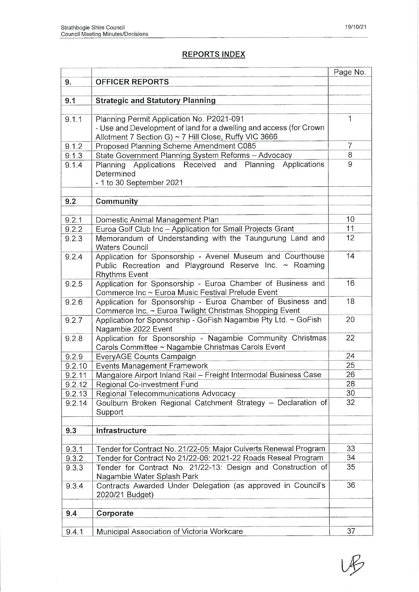# **REPORTS INDEX**

|        |                                                                                   | Page No.       |
|--------|-----------------------------------------------------------------------------------|----------------|
| 9.     | <b>OFFICER REPORTS</b>                                                            |                |
|        |                                                                                   |                |
| 9.1    | <b>Strategic and Statutory Planning</b>                                           |                |
|        |                                                                                   |                |
| 9.1.1  | Planning Permit Application No. P2021-091                                         | 1              |
|        | - Use and Development of land for a dwelling and access (for Crown                |                |
|        | Allotment 7 Section G) ~ 7 Hill Close, Ruffy VIC 3666                             |                |
| 9.1.2  | Proposed Planning Scheme Amendment C085                                           | $\overline{7}$ |
| 9.1.3  | State Government Planning System Reforms - Advocacy                               | 8              |
| 9.1.4  | Planning Applications Received and Planning Applications                          | 9              |
|        | Determined                                                                        |                |
|        | - 1 to 30 September 2021                                                          |                |
|        |                                                                                   |                |
| 9.2    | Community                                                                         |                |
|        |                                                                                   |                |
|        |                                                                                   | 10             |
| 9.2.1  | Domestic Animal Management Plan                                                   | 11             |
| 9.2.2  | Euroa Golf Club Inc - Application for Small Projects Grant                        | 12             |
| 9.2.3  | Memorandum of Understanding with the Taungurung Land and<br><b>Waters Council</b> |                |
| 9.2.4  | Application for Sponsorship - Avenel Museum and Courthouse                        | 14             |
|        | Public Recreation and Playground Reserve Inc. ~ Roaming                           |                |
|        | <b>Rhythms Event</b>                                                              |                |
| 9.2.5  | Application for Sponsorship - Euroa Chamber of Business and                       | 16             |
|        | Commerce Inc ~ Euroa Music Festival Prelude Event                                 |                |
| 9.2.6  | Application for Sponsorship - Euroa Chamber of Business and                       | 18             |
|        | Commerce Inc. ~ Euroa Twilight Christmas Shopping Event                           |                |
| 9.2.7  | Application for Sponsorship - GoFish Nagambie Pty Ltd. ~ GoFish                   | 20             |
|        | Nagambie 2022 Event                                                               |                |
| 9.2.8  | Application for Sponsorship - Nagambie Community Christmas                        | 22             |
|        | Carols Committee ~ Nagambie Christmas Carols Event                                |                |
| 9.2.9  | EveryAGE Counts Campaign                                                          | 24             |
| 9.2.10 | Events Management Framework                                                       | 25             |
| 9.2.11 | Mangalore Airport Inland Rail - Freight Intermodal Business Case                  | 26             |
| 9.2.12 | Regional Co-investment Fund                                                       | 28             |
| 9.2.13 | Regional Telecommunications Advocacy                                              | 30             |
| 9.2.14 | Goulburn Broken Regional Catchment Strategy - Declaration of                      | 32             |
|        | Support                                                                           |                |
|        |                                                                                   |                |
| 9.3    | Infrastructure                                                                    |                |
|        |                                                                                   |                |
| 9.3.1  | Tender for Contract No. 21/22-05: Major Culverts Renewal Program                  | 33             |
| 9.3.2  | Tender for Contract No 21/22-06: 2021-22 Roads Reseal Program                     | 34             |
| 9.3.3  | Tender for Contract No. 21/22-13: Design and Construction of                      | 35             |
|        | Nagambie Water Splash Park                                                        |                |
| 9.3.4  | Contracts Awarded Under Delegation (as approved in Council's                      | 36             |
|        | 2020/21 Budget)                                                                   |                |
|        |                                                                                   |                |
| 9.4    | Corporate                                                                         |                |
| 9.4.1  | Municipal Association of Victoria Workcare                                        | 37             |
|        |                                                                                   |                |

**Up**7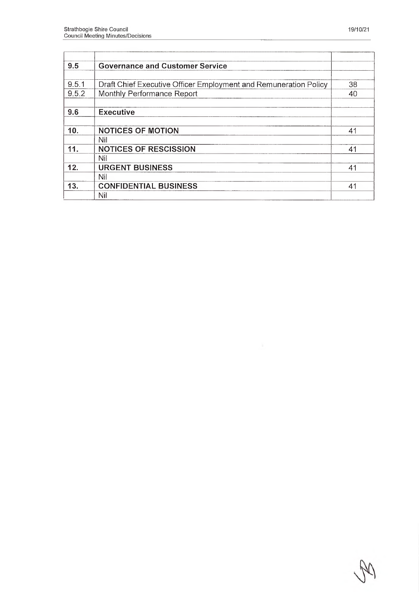| <b>Governance and Customer Service</b> |                                                                                                                                                |
|----------------------------------------|------------------------------------------------------------------------------------------------------------------------------------------------|
|                                        | 38                                                                                                                                             |
| Monthly Performance Report             | 40                                                                                                                                             |
| <b>Executive</b>                       |                                                                                                                                                |
| <b>NOTICES OF MOTION</b>               | 41                                                                                                                                             |
| Nil                                    | 41                                                                                                                                             |
| Nil                                    |                                                                                                                                                |
| <b>URGENT BUSINESS</b>                 | 41                                                                                                                                             |
|                                        |                                                                                                                                                |
|                                        | 41                                                                                                                                             |
|                                        | Draft Chief Executive Officer Employment and Remuneration Policy<br><b>NOTICES OF RESCISSION</b><br>Nil<br><b>CONFIDENTIAL BUSINESS</b><br>Nil |

٦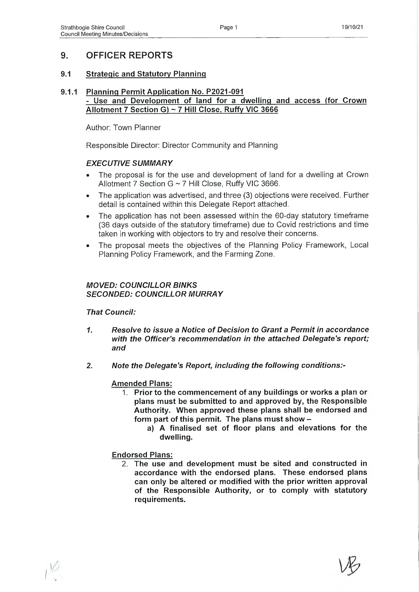# **9. OFFICER REPORTS**

## **9.1 Strategic and Statutory Planning**

#### **9.1.1 Planning Permit Application No. P2021-091 - Use and Development of land for a dwelling and access (for Crown Allotment 7 Section G) ~ 7 Hill Close, Ruffy VIC 3666**

Author: Town Planner

Responsible Director: Director Community and Planning

#### *EXECUTIVE SUMMARY*

- The proposal is for the use and development of land for a dwelling at Crown Allotment 7 Section G ~ 7 Hill Close, Ruffy VIC 3666.
- The application was advertised, and three (3) objections were received. Further detail is contained within this Delegate Report attached.
- The application has not been assessed within the 60-day statutory timeframe (36 days outside of the statutory timeframe) due to Covid restrictions and time taken in working with objectors to try and resolve their concerns.
- The proposal meets the objectives of the Planning Policy Framework, Local Planning Policy Framework, and the Farming Zone.

## *MOVED: COUNCILLOR BINKS SECONDED: COUNCILLOR MURRAY*

*That Council:*

- *1. Resolve to issue a Notice of Decision to Grant a Permit in accordance with the Officer's recommendation in the attached Delegate's report; and*
- *2. Note the Delegate's Report, including the following conditions:-*

#### **Amended Plans:**

- **1. Prior to the commencement of any buildings or works a plan or plans must be submitted to and approved by, the Responsible Authority. When approved these plans shall be endorsed and form part of this permit. The plans must show** 
	- **a) A finalised set of floor plans and elevations for the dwelling.**

# **Endorsed Plans:**

2. **The use and development must be sited and constructed in accordance with the endorsed plans. These endorsed plans can only be altered or modified with the prior written approval of the Responsible Authority, or to comply with statutory requirements.**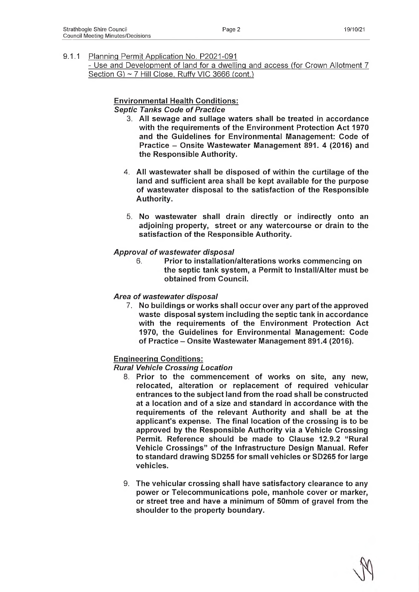- Use and Development of land for a dwelling and access (for Crown Allotment 7 Section G) ~ 7 Hill Close. Ruffy VIC 3666 (cont.)

## **Environmental Health Conditions:**

*Septic Tanks Code of Practice*

- 3. **All sewage and sullage waters shall be treated in accordance with the requirements of the Environment Protection Act 1970 and the Guidelines for Environmental Management: Code of Practice - Onsite Wastewater Management 891. 4 (2016) and the Responsible Authority.**
- **4. All wastewater shall be disposed of within the curtilage of the land and sufficient area shall be kept available for the purpose of wastewater disposal to the satisfaction of the Responsible Authority.**
- 5. **No wastewater shall drain directly or indirectly onto an adjoining property, street or any watercourse or drain to the satisfaction of the Responsible Authority.**

#### *Approval of wastewater disposal*

**6. Prior to installation/alterations works commencing on the septic tank system, a Permit to Install/Alter must be obtained from Council.**

#### *Area of wastewater disposal*

7. **No buildings or works shall occur over any part of the approved waste disposal system including the septic tank in accordance with the requirements of the Environment Protection Act 1970, the Guidelines for Environmental Management: Code of Practice - Onsite Wastewater Management 891.4 (2016).**

#### **Engineering Conditions:**

*Rural Vehicle Crossing Location*

- 8 . **Prior to the commencement of works on site, any new, relocated, alteration or replacement of required vehicular entrances to the subject land from the road shall be constructed at a location and of a size and standard in accordance with the requirements of the relevant Authority and shall be at the applicant's expense. The final location of the crossing is to be approved by the Responsible Authority via a Vehicle Crossing Permit. Reference should be made to Clause 12.9.2 "Rural Vehicle Crossings" of the Infrastructure Design Manual. Refer to standard drawing SD255 for small vehicles or SD265 for large vehicles.**
- 9. **The vehicular crossing shall have satisfactory clearance to any power or Telecommunications pole, manhole cover or marker, or street tree and have a minimum of 50mm of gravel from the shoulder to the property boundary.**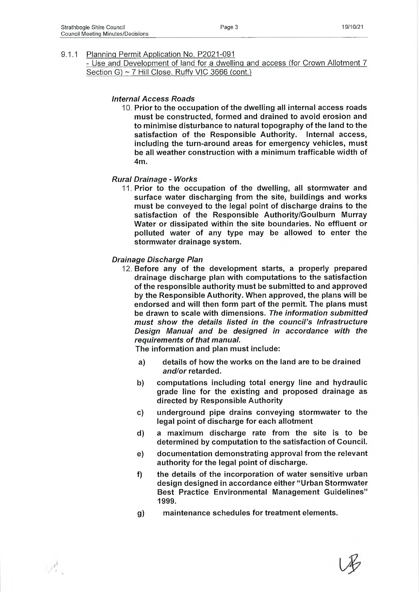$\mathcal{P}^{\mathsf{F}}_{r_{-1}}$ 

9.1.1 Planning Permit Application No. P2021-091

- Use and Development of land for a dwelling and access (for Crown Allotment 7 Section G) ~ 7 Hill Close, Ruffy VIC 3666 (cont.)

#### *Internal Access Roads*

**10. Prior to the occupation of the dwelling all internal access roads must be constructed, formed and drained to avoid erosion and to minimise disturbance to natural topography of the land to the satisfaction of the Responsible Authority. Internal access, including the turn-around areas for emergency vehicles, must be all weather construction with a minimum trafficable width of 4m.**

#### *Rural Drainage - Works*

11. **Prior to the occupation of the dwelling, all stormwater and surface water discharging from the site, buildings and works must be conveyed to the legal point of discharge drains to the satisfaction of the Responsible Authority/Goulburn Murray Water or dissipated within the site boundaries. No effluent or polluted water of any type may be allowed to enter the stormwater drainage system.**

#### *Drainage Discharge Plan*

12. **Before any of the development starts, a properly prepared drainage discharge plan with computations to the satisfaction of the responsible authority must be submitted to and approved by the Responsible Authority. When approved, the plans will be endorsed and will then form part of the permit. The plans must be drawn to scale with dimensions.** *The information submitted must show the details listed in the council's Infrastructure Design Manual and be designed in accordance with the requirements of that manual.*

**The information and plan must include:**

- **a) details of how the works on the land are to be drained** *and/or* **retarded.**
- **b) computations including total energy line and hydraulic grade line for the existing and proposed drainage as directed by Responsible Authority**
- **c) underground pipe drains conveying stormwater to the legal point of discharge for each allotment**
- **d) a maximum discharge rate from the site is to be determined by computation to the satisfaction of Council.**
- **e) documentation demonstrating approval from the relevant authority for the legal point of discharge.**
- **f) the details of the incorporation of water sensitive urban design designed in accordance either "Urban Stormwater Best Practice Environmental Management Guidelines" 1999.**
- **g) maintenance schedules for treatment elements.**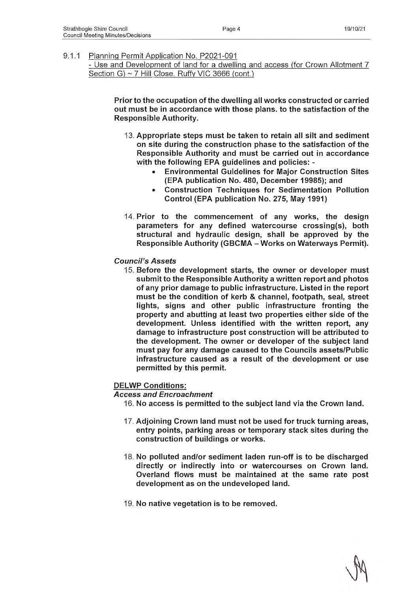- Use and Development of land for a dwelling and access (for Crown Allotment 7 Section G) ~ 7 Hill Close, Ruffy VIC 3666 (cont.)

> **Prior to the occupation of the dwelling all works constructed or carried out must be in accordance with those plans, to the satisfaction of the Responsible Authority.**

- **13. Appropriate steps must be taken to retain all silt and sediment on site during the construction phase to the satisfaction of the Responsible Authority and must be carried out in accordance with the following EPA guidelines and policies: -**
	- **Environmental Guidelines for Major Construction Sites (EPA publication No. 480, December 19985); and**
	- **Construction Techniques for Sedimentation Pollution Control (EPA publication No. 275, May 1991)**
- 14. **Prior to the commencement of any works, the design parameters for any defined watercourse crossing(s), both structural and hydraulic design, shall be approved by the Responsible Authority (GBCMA - Works on Waterways Permit).**
- *Council's Assets*
	- 15. **Before the development starts, the owner or developer must submit to the Responsible Authority a written report and photos of any prior damage to public infrastructure. Listed in the report must be the condition of kerb & channel, footpath, seal, street lights, signs and other public infrastructure fronting the property and abutting at least two properties either side of the development. Unless identified with the written report, any damage to infrastructure post construction will be attributed to the development. The owner or developer of the subject land must pay for any damage caused to the Councils assets/Public infrastructure caused as a result of the development or use permitted by this permit.**

**DELWP Conditions:**

*Access and Encroachment*

- **16. No access is permitted to the subject land via the Crown land.**
- 17. **Adjoining Crown land must not be used for truck turning areas, entry points, parking areas or temporary stack sites during the construction of buildings or works.**
- **18. No polluted and/or sediment laden run-off is to be discharged directly or indirectly into or watercourses on Crown land. Overland flows must be maintained at the same rate post development as on the undeveloped land.**
- **19. No native vegetation is to be removed.**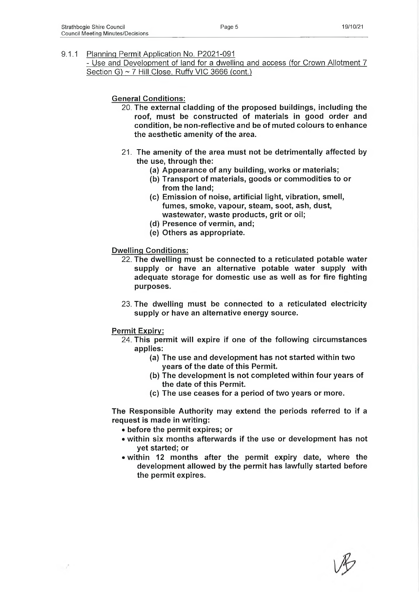- Use and Development of land for a dwelling and access (for Crown Allotment 7 Section G) ~ 7 Hill Close, Ruffy VIC 3666 (cont.)

#### **General Conditions:**

- 20. **The external cladding of the proposed buildings, including the roof, must be constructed of materials in good order and condition, be non-reflective and be of muted colours to enhance the aesthetic amenity of the area.**
- 21. **The amenity of the area must not be detrimentally affected by the use, through the:**
	- **(a) Appearance of any building, works or materials;**
	- **(b) Transport of materials, goods or commodities to or from the land;**
	- **(c) Emission of noise, artificial light, vibration, smell, fumes, smoke, vapour, steam, soot, ash, dust, wastewater, waste products, grit or oil;**
	- **(d) Presence of vermin, and;**
	- **(e) Others as appropriate.**

#### **Dwelling Conditions:**

- 22. **The dwelling must be connected to a reticulated potable water supply or have an alternative potable water supply with adequate storage for domestic use as well as for fire fighting purposes.**
- 23. **The dwelling must be connected to a reticulated electricity supply or have an alternative energy source.**

#### **Permit Expiry:**

- 24. **This permit will expire if one of the following circumstances applies:**
	- **(a) The use and development has not started within two years of the date of this Permit.**
	- **(b) The development is not completed within four years of the date of this Permit.**
	- **(c) The use ceases for a period of two years or more.**

**The Responsible Authority may extend the periods referred to if a request is made in writing:**

- **before the permit expires; or**
- **within six months afterwards if the use or development has not yet started; or**
- **within 12 months after the permit expiry date, where the development allowed by the permit has lawfully started before the permit expires.**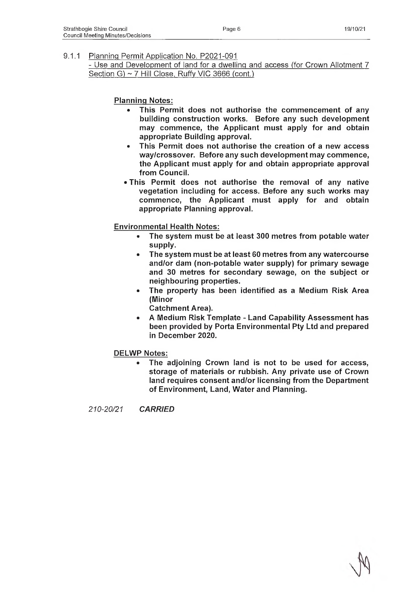- Use and Development of land for a dwelling and access (for Crown Allotment 7 Section G) ~ 7 Hill Close, Ruffy VIC 3666 (cont.)

**Planning Notes:**

- **This Permit does not authorise the commencement of any building construction works. Before any such development may commence, the Applicant must apply for and obtain appropriate Building approval.**
- **This Permit does not authorise the creation of a new access way/crossover. Before any such development may commence, the Applicant must apply for and obtain appropriate approval from Council.**
- **This Permit does not authorise the removal of any native vegetation including for access. Before any such works may commence, the Applicant must apply for and obtain appropriate Planning approval.**

**Environmental Health Notes:**

- **® The system must be at least 300 metres from potable water supply.**
- **The system must be at least 60 metres from any watercourse and/or dam (non-potable water supply) for primary sewage and 30 metres for secondary sewage, on the subject or neighbouring properties.**
- **The property has been identified as a Medium Risk Area (Minor**

**Catchment Area).**

**• A Medium Risk Template - Land Capability Assessment has been provided by Porta Environmental Pty Ltd and prepared in December 2020.**

**DELWP Notes:**

**• The adjoining Crown land is not to be used for access, storage of materials or rubbish. Any private use of Crown land requires consent and/or licensing from the Department of Environment, Land, Water and Planning.**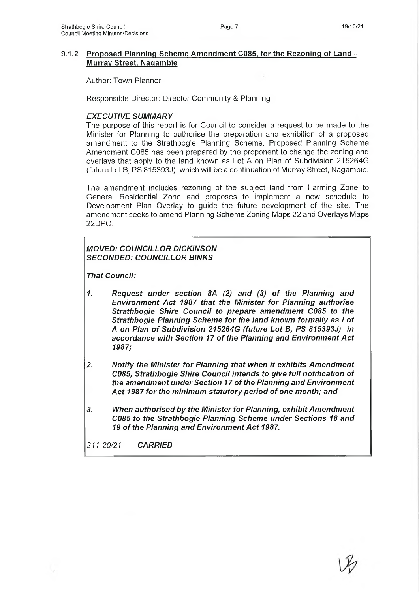## **9.1.2 Proposed Planning Scheme Amendment C085, for the Rezoning of Land - Murray Street, Nagambie**

Author: Town Planner

Responsible Director: Director Community & Planning

#### *EXECUTIVE SUMMARY*

The purpose of this report is for Council to consider a request to be made to the Minister for Planning to authorise the preparation and exhibition of a proposed amendment to the Strathbogie Planning Scheme. Proposed Planning Scheme Amendment C085 has been prepared by the proponent to change the zoning and overlays that apply to the land known as Lot A on Plan of Subdivision 215264G (future Lot B, PS 815393J), which will be a continuation of Murray Street, Nagambie.

The amendment includes rezoning of the subject land from Farming Zone to General Residential Zone and proposes to implement a new schedule to Development Plan Overlay to guide the future development of the site. The amendment seeks to amend Planning Scheme Zoning Maps 22 and Overlays Maps 22DPO.

# *MOVED: COUNCILLOR DICKINSON SECONDED: COUNCILLOR BINKS*

*That Council:*

- *1. Request under section 8A (2) and (3) of the Planning and Environment Act 1987 that the Minister for Planning authorise Strathbogie Shire Council to prepare amendment C085 to the Strathbogie Planning Scheme for the land known formally as Lot A on Plan of Subdivision 215264G (future Lot B, PS 815393J) in accordance with Section 17 of the Planning and Environment Act 1987;*
- *2. Notify the Minister for Planning that when it exhibits Amendment C085, Strathbogie Shire Council intends to give full notification of the amendment under Section 17 of the Planning and Environment Act 1987 for the minimum statutory period of one month; and*
- *3. When authorised by the Minister for Planning, exhibit Amendment C085 to the Strathbogie Planning Scheme under Sections 18 and 19 of the Planning and Environment Act 1987.*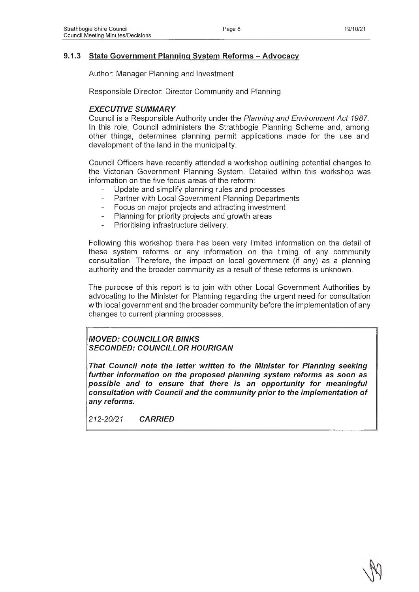## **9.1.3 State Government Planning System Reforms - Advocacy**

Author: Manager Planning and Investment

Responsible Director: Director Community and Planning

## *EXECUTIVE SUMMARY*

Council is a Responsible Authority under the *Planning and Environment Act 1987.* In this role, Council administers the Strathbogie Planning Scheme and, among other things, determines planning permit applications made for the use and development of the land in the municipality.

Council Officers have recently attended a workshop outlining potential changes to the Victorian Government Planning System. Detailed within this workshop was information on the five focus areas of the reform:

- Update and simplify planning rules and processes
- Partner with Local Government Planning Departments
- Focus on major projects and attracting investment
- Planning for priority projects and growth areas
- Prioritising infrastructure delivery.

Following this workshop there has been very limited information on the detail of these system reforms or any information on the timing of any community consultation. Therefore, the impact on local government (if any) as a planning authority and the broader community as a result of these reforms is unknown.

The purpose of this report is to join with other Local Government Authorities by advocating to the Minister for Planning regarding the urgent need for consultation with local government and the broader community before the implementation of any changes to current planning processes.

*MOVED: COUNCILLOR BINKS SECONDED: COUNCILLOR HOURIGAN*

*That Council note the letter written to the Minister for Planning seeking further information on the proposed planning system reforms as soon as possible and to ensure that there is an opportunity for meaningful consultation with Council and the community prior to the implementation of any reforms.*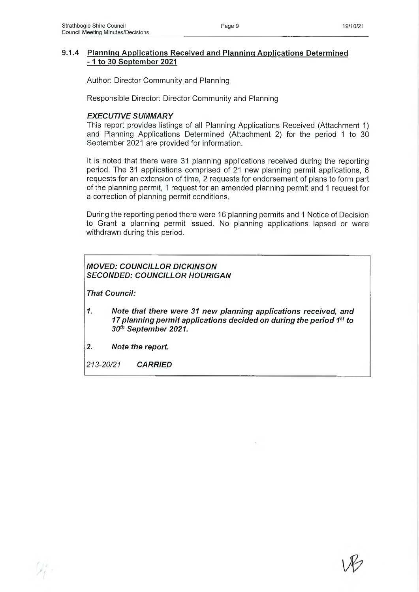#### **9.1.4 Planning Applications Received and Planning Applications Determined -1 to 30 September 2021**

Author: Director Community and Planning

Responsible Director: Director Community and Planning

#### *EXECUTIVE SUMMARY*

This report provides listings of all Planning Applications Received (Attachment 1) and Planning Applications Determined (Attachment 2) for the period 1 to 30 September 2021 are provided for information.

It is noted that there were 31 planning applications received during the reporting period. The 31 applications comprised of 21 new planning permit applications, 6 requests for an extension of time, 2 requests for endorsement of plans to form part of the planning permit, 1 request for an amended planning permit and 1 request for a correction of planning permit conditions.

During the reporting period there were 16 planning permits and 1 Notice of Decision to Grant a planning permit issued. No planning applications lapsed or were withdrawn during this period.

# *MOVED: COUNCILLOR DICKINSON SECONDED: COUNCILLOR HOURIGAN*

*That Council:*

- *1. Note that there were 31 new planning applications received, and 17 planning permit applications decided on during the period 1st to 30th September 2021.*
- *2. Note the report.*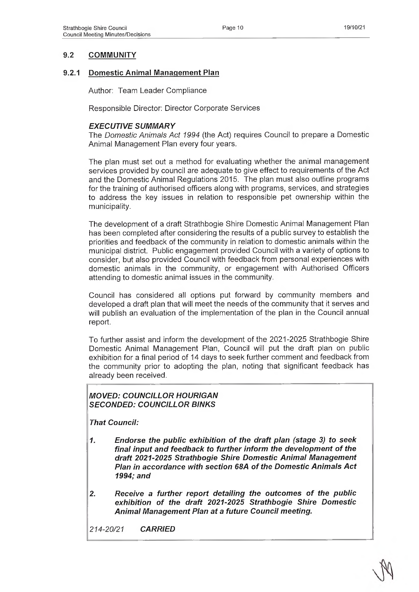# **9.2 COMMUNITY**

## **9.2.1 Domestic Animal Management Plan**

Author: Team Leader Compliance

Responsible Director: Director Corporate Services

#### *EXECUTIVE SUMMARY*

The *Domestic Animals Act 1994* (the Act) requires Council to prepare a Domestic Animal Management Plan every four years.

The plan must set out a method for evaluating whether the animal management services provided by council are adequate to give effect to requirements of the Act and the Domestic Animal Regulations 2015. The plan must also outline programs for the training of authorised officers along with programs, services, and strategies to address the key issues in relation to responsible pet ownership within the municipality.

The development of a draft Strathbogie Shire Domestic Animal Management Plan has been completed after considering the results of a public survey to establish the priorities and feedback of the community in relation to domestic animals within the municipal district. Public engagement provided Council with a variety of options to consider, but also provided Council with feedback from personal experiences with domestic animals in the community, or engagement with Authorised Officers attending to domestic animal issues in the community.

Council has considered all options put forward by community members and developed a draft plan that will meet the needs of the community that it serves and will publish an evaluation of the implementation of the plan in the Council annual report.

To further assist and inform the development of the 2021-2025 Strathbogie Shire Domestic Animal Management Plan, Council will put the draft plan on public exhibition for a final period of 14 days to seek further comment and feedback from the community prior to adopting the plan, noting that significant feedback has already been received.

#### *MOVED: COUNCILLOR HOURIGAN SECONDED: COUNCILLOR BINKS*

*That Council:*

- *1. Endorse the public exhibition of the draft plan (stage 3) to seek final input and feedback to further inform the development of the draft 2021-2025 Strathbogie Shire Domestic Animal Management Plan in accordance with section 68A of the Domestic Animals Act 1994; and*
- *2. Receive a further report detailing the outcomes of the public exhibition of the draft 2021-2025 Strathbogie Shire Domestic Animal Management Plan at a future Council meeting.*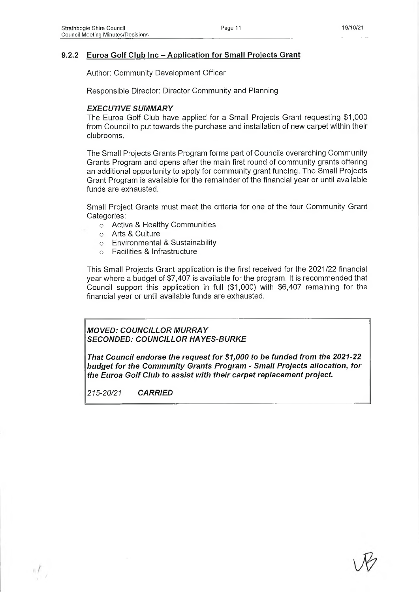## **9.2.2 Euroa Golf Club Inc - Application for Small Projects Grant**

Author: Community Development Officer

Responsible Director: Director Community and Planning

#### *EXECUTIVE SUMMARY*

The Euroa Golf Club have applied for a Small Projects Grant requesting \$1,000 from Council to put towards the purchase and installation of new carpet within their clubrooms.

The Small Projects Grants Program forms part of Councils overarching Community Grants Program and opens after the main first round of community grants offering an additional opportunity to apply for community grant funding. The Small Projects Grant Program is available for the remainder of the financial year or until available funds are exhausted.

Small Project Grants must meet the criteria for one of the four Community Grant Categories:

- o Active & Healthy Communities
- o Arts & Culture
- o Environmental & Sustainability
- o Facilities & Infrastructure

This Small Projects Grant application is the first received for the 2021/22 financial year where a budget of \$7,407 is available for the program. It is recommended that Council support this application in full (\$1,000) with \$6,407 remaining for the financial year or until available funds are exhausted.

*MOVED: COUNCILLOR MURRAY SECONDED: COUNCILLOR HAYES-BURKE*

*That Council endorse the request for \$1,000 to be funded from the 2021-22 budget for the Community Grants Program - Small Projects allocation, for the Euroa Golf Club to assist with their carpet replacement project.*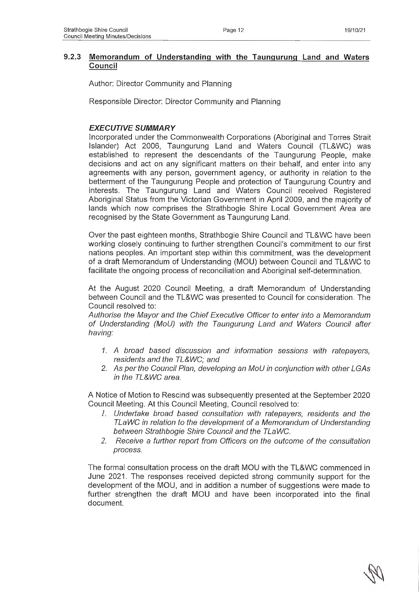#### **9.2.3 Memorandum of Understanding with the Taungurung Land and Waters Council**

Author: Director Community and Planning

Responsible Director: Director Community and Planning

# *EXECUTIVE SUMMARY*

Incorporated under the Commonwealth Corporations (Aboriginal and Torres Strait Islander) Act 2006, Taungurung Land and Waters Council (TL&WC) was established to represent the descendants of the Taungurung People, make decisions and act on any significant matters on their behalf, and enter into any agreements with any person, government agency, or authority in relation to the betterment of the Taungurung People and protection of Taungurung Country and interests. The Taungurung Land and Waters Council received Registered Aboriginal Status from the Victorian Government in April 2009, and the majority of lands which now comprises the Strathbogie Shire Local Government Area are recognised by the State Government as Taungurung Land.

Over the past eighteen months, Strathbogie Shire Council and TL&WC have been working closely continuing to further strengthen Council's commitment to our first nations peoples. An important step within this commitment, was the development of a draft Memorandum of Understanding (MOU) between Council and TL&WC to facilitate the ongoing process of reconciliation and Aboriginal self-determination.

At the August 2020 Council Meeting, a draft Memorandum of Understanding between Council and the TL&WC was presented to Council for consideration. The Council resolved to:

*Authorise the Mayor and the Chief Executive Officer to enter into a Memorandum of Understanding (MoU) with the Taungurung Land and Waters Council after having:*

- *1. A broad based discussion and information sessions with ratepayers, residents and the TL&WC; and*
- *2. As per the Council Plan, developing an MoU in conjunction with other LG As in the TL&WC area.*

A Notice of Motion to Rescind was subsequently presented at the September 2020 Council Meeting. At this Council Meeting, Council resolved to:

- *1. Undertake broad based consultation with ratepayers, residents and the TLaWC in relation to the development of a Memorandum of Understanding between Strathbogie Shire Council and the TLaWC.*
- *2. Receive a further report from Officers on the outcome of the consultation process.*

The formal consultation process on the draft MOU with the TL&WC commenced in June 2021. The responses received depicted strong community support for the development of the MOU, and in addition a number of suggestions were made to further strengthen the draft MOU and have been incorporated into the final document.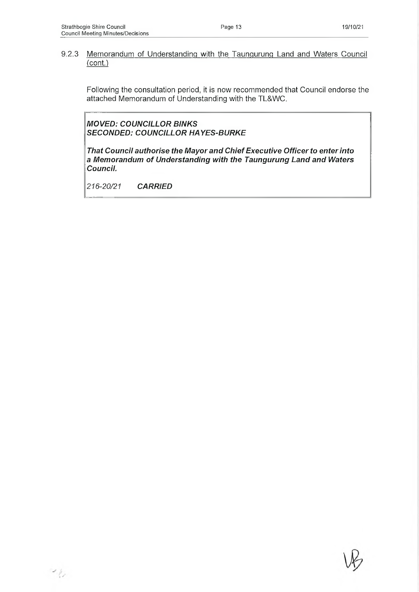#### 9.2.3 Memorandum of Understanding with the Taungurung Land and Waters Council (cont.)

Following the consultation period, it is now recommended that Council endorse the attached Memorandum of Understanding with the TL&WC.

*MOVED: COUNCILLOR BINKS SECONDED: COUNCILLOR HAYES-BURKE*

*That Council authorise the Mayor and Chief Executive Officer to enter into a Memorandum of Understanding with the Taungurung Land and Waters Council.*

*216-20/21 CARRIED*



 $\mathcal{L}_{\mathcal{L}}$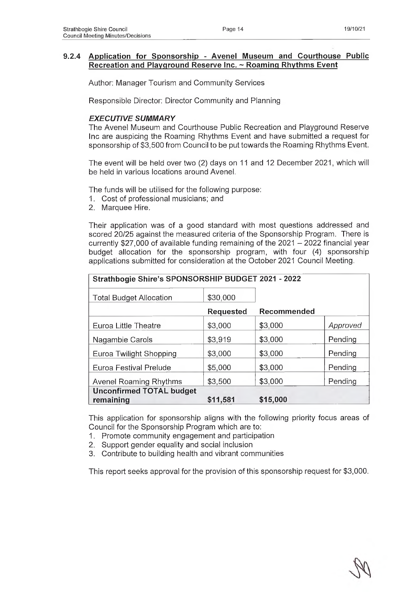## **9.2.4 Application for Sponsorship - Avenel Museum and Courthouse Public Recreation and Playground Reserve Inc. ~ Roaming Rhythms Event**

Author: Manager Tourism and Community Services

Responsible Director: Director Community and Planning

#### *EXECUTIVE SUMMARY*

The Avenel Museum and Courthouse Public Recreation and Playground Reserve Inc are auspicing the Roaming Rhythms Event and have submitted a request for sponsorship of \$3,500 from Council to be put towards the Roaming Rhythms Event.

The event will be held over two (2) days on 11 and 12 December 2021, which will be held in various locations around Avenel.

The funds will be utilised for the following purpose:

- 1. Cost of professional musicians; and
- 2. Marquee Hire.

Their application was of a good standard with most questions addressed and scored 20/25 against the measured criteria of the Sponsorship Program. There is currently \$27,000 of available funding remaining of the  $2021 - 2022$  financial year budget allocation for the sponsorship program, with four (4) sponsorship applications submitted for consideration at the October 2021 Council Meeting.

| Strathbogie Shire's SPONSORSHIP BUDGET 2021 - 2022 |                  |             |          |
|----------------------------------------------------|------------------|-------------|----------|
| <b>Total Budget Allocation</b>                     | \$30,000         |             |          |
|                                                    | <b>Requested</b> | Recommended |          |
| Euroa Little Theatre                               | \$3,000          | \$3,000     | Approved |
| Nagambie Carols                                    | \$3,919          | \$3,000     | Pending  |
| Euroa Twilight Shopping                            | \$3,000          | \$3,000     | Pending  |
| Euroa Festival Prelude                             | \$5,000          | \$3,000     | Pending  |
| Avenel Roaming Rhythms                             | \$3,500          | \$3,000     | Pending  |
| <b>Unconfirmed TOTAL budget</b>                    |                  |             |          |
| remaining                                          | \$11,581         | \$15,000    |          |

This application for sponsorship aligns with the following priority focus areas of Council for the Sponsorship Program which are to:

- 1. Promote community engagement and participation
- 2. Support gender equality and social inclusion
- 3. Contribute to building health and vibrant communities

This report seeks approval for the provision of this sponsorship request for \$3,000.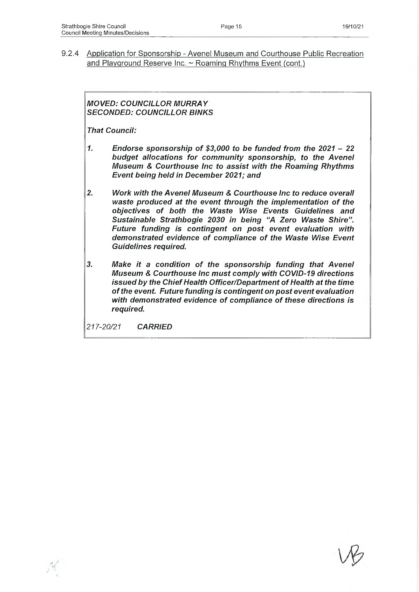9.2.4 Application for Sponsorship - Avenel Museum and Courthouse Public Recreation and Playground Reserve Inc. ~ Roaming Rhythms Event (cont.)

# *MOVED: COUNCILLOR MURRAY SECONDED: COUNCILLOR BINKS*

*That Council:*

- *1. Endorse sponsorship of \$3,000 to be funded from the 2021 22 budget allocations for community sponsorship, to the Avenel Museum & Courthouse Inc to assist with the Roaming Rhythms Event being held in December 2021; and*
- *2. Work with the Avenel Museum & Courthouse Inc to reduce overall waste produced at the event through the implementation of the objectives of both the Waste Wise Events Guidelines and Sustainable Strathbogie 2030 in being "A Zero Waste Shire". Future funding is contingent on post event evaluation with demonstrated evidence of compliance of the Waste Wise Event Guidelines required.*
- *3. Make it a condition of the sponsorship funding that Avenel Museum & Courthouse Inc must comply with COVID-19 directions issued by the Chief Health Officer/Department of Health at the time of the event. Future funding is contingent on post event evaluation with demonstrated evidence of compliance of these directions is required.*

*217-20/21 CARRIED*

*J*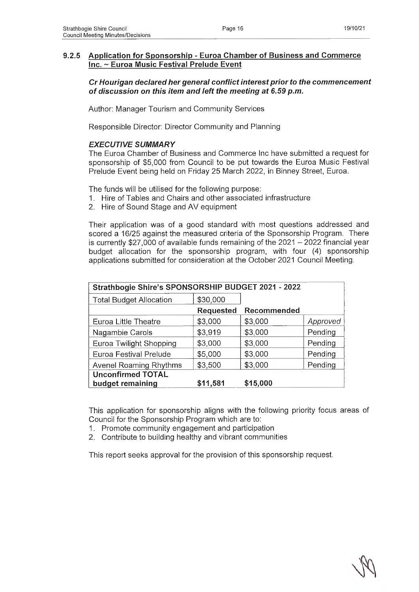## *Cr Hourigan declared her general conflict interest prior to the commencement of discussion on this item and left the meeting at 6.59 p.m.*

Author: Manager Tourism and Community Services

Responsible Director: Director Community and Planning

## *EXECUTIVE SUMMARY*

The Euroa Chamber of Business and Commerce Inc have submitted a request for sponsorship of \$5,000 from Council to be put towards the Euroa Music Festival Prelude Event being held on Friday 25 March 2022, in Binney Street, Euroa.

The funds will be utilised for the following purpose:

- 1. Hire of Tables and Chairs and other associated infrastructure
- 2. Hire of Sound Stage and AV equipment

Their application was of a good standard with most questions addressed and scored a 16/25 against the measured criteria of the Sponsorship Program. There is currently \$27,000 of available funds remaining of the  $2021 - 2022$  financial year budget allocation for the sponsorship program, with four (4) sponsorship applications submitted for consideration at the October 2021 Council Meeting.

| Strathbogie Shire's SPONSORSHIP BUDGET 2021 - 2022 |                  |             |          |
|----------------------------------------------------|------------------|-------------|----------|
| <b>Total Budget Allocation</b>                     | \$30,000         |             |          |
|                                                    | <b>Requested</b> | Recommended |          |
| Euroa Little Theatre                               | \$3,000          | \$3,000     | Approved |
| Nagambie Carols                                    | \$3,919          | \$3,000     | Pending  |
| Euroa Twilight Shopping                            | \$3,000          | \$3,000     | Pending  |
| Euroa Festival Prelude                             | \$5,000          | \$3,000     | Pending  |
| Avenel Roaming Rhythms                             | \$3,500          | \$3,000     | Pending  |
| <b>Unconfirmed TOTAL</b>                           |                  |             |          |
| budget remaining                                   | \$11,581         | \$15,000    |          |

This application for sponsorship aligns with the following priority focus areas of Council for the Sponsorship Program which are to:

- 1. Promote community engagement and participation
- 2. Contribute to building healthy and vibrant communities

This report seeks approval for the provision of this sponsorship request.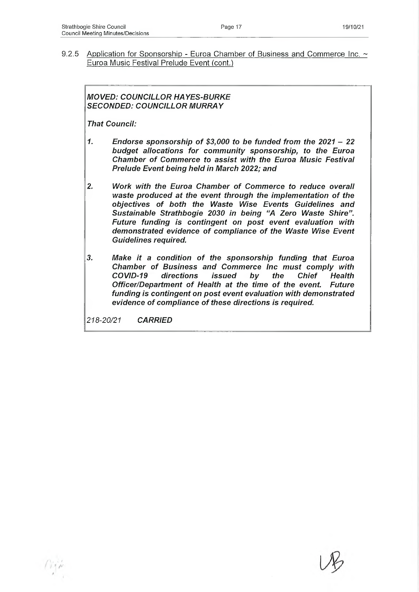9.2.5 Application for Sponsorship - Euroa Chamber of Business and Commerce Inc. ~ Euroa Music Festival Prelude Event (cont.)

## *MOVED: COUNCILLOR HAYES-BURKE SECONDED: COUNCILLOR MURRAY*

*That Council:*

- *1. Endorse sponsorship of \$3,000 to be funded from the 2021 22 budget allocations for community sponsorship, to the Euroa Chamber of Commerce to assist with the Euroa Music Festival Prelude Event being held in March 2022; and*
- *2. Work with the Euroa Chamber of Commerce to reduce overall waste produced at the event through the implementation of the objectives of both the Waste Wise Events Guidelines and Sustainable Strathbogie 2030 in being "A Zero Waste Shire". Future funding is contingent on post event evaluation with demonstrated evidence of compliance of the Waste Wise Event Guidelines required.*
- *3. Make it a condition of the sponsorship funding that Euroa Chamber of Business and Commerce Inc must comply with COVID-19 directions issued by the Chief Health Officer/Department of Health at the time of the event. Future funding is contingent on post event evaluation with demonstrated evidence of compliance of these directions is required.*

*218-20/21 CARRIED*

A *I*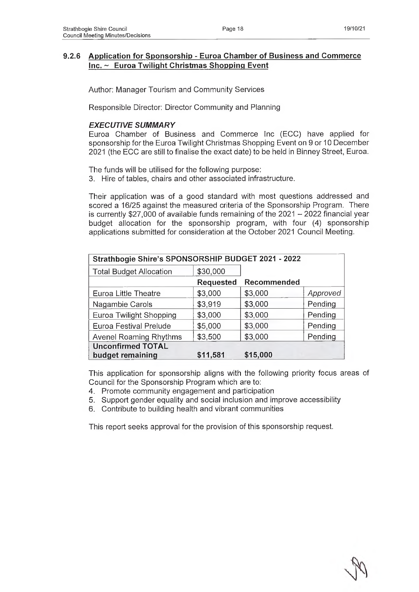# **9.2.6 Application for Sponsorship - Euroa Chamber of Business and Commerce Inc. ~ Euroa Twilight Christmas Shopping Event**

Author: Manager Tourism and Community Services

Responsible Director: Director Community and Planning

## *EXECUTIVE SUMMARY*

Euroa Chamber of Business and Commerce Inc (ECC) have applied for sponsorship for the Euroa Twilight Christmas Shopping Event on 9 or 10 December 2021 (the ECC are still to finalise the exact date) to be held in Binney Street, Euroa.

The funds will be utilised for the following purpose:

3. Hire of tables, chairs and other associated infrastructure.

Their application was of a good standard with most questions addressed and scored a 16/25 against the measured criteria of the Sponsorship Program. There is currently \$27,000 of available funds remaining of the  $2021 - 2022$  financial year budget allocation for the sponsorship program, with four (4) sponsorship applications submitted for consideration at the October 2021 Council Meeting.

| Strathbogie Shire's SPONSORSHIP BUDGET 2021 - 2022 |                  |             |          |
|----------------------------------------------------|------------------|-------------|----------|
| <b>Total Budget Allocation</b>                     | \$30,000         |             |          |
|                                                    | <b>Requested</b> | Recommended |          |
| Euroa Little Theatre                               | \$3,000          | \$3,000     | Approved |
| Nagambie Carols                                    | \$3,919          | \$3,000     | Pending  |
| Euroa Twilight Shopping                            | \$3,000          | \$3,000     | Pending  |
| Euroa Festival Prelude                             | \$5,000          | \$3,000     | Pending  |
| <b>Avenel Roaming Rhythms</b>                      | \$3,500          | \$3,000     | Pending  |
| <b>Unconfirmed TOTAL</b><br>budget remaining       | \$11,581         | \$15,000    |          |

This application for sponsorship aligns with the following priority focus areas of Council for the Sponsorship Program which are to:

- 4. Promote community engagement and participation
- 5. Support gender equality and social inclusion and improve accessibility
- 6. Contribute to building health and vibrant communities

This report seeks approval for the provision of this sponsorship request.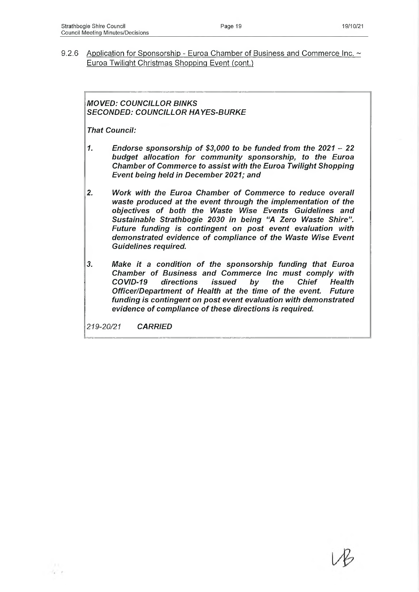9.2.6 Application for Sponsorship - Euroa Chamber of Business and Commerce Inc. ~ Euroa Twilight Christmas Shopping Event (cont.)

# *MOVED: COUNCILLOR BINKS SECONDED: COUNCILLOR HAYES-BURKE*

*That Council:*

- *1. Endorse sponsorship of \$3,000 to be funded from the 2021 22 budget allocation for community sponsorship, to the Euroa Chamber of Commerce to assist with the Euroa Twilight Shopping Event being held in December 2021; and*
- *2. Work with the Euroa Chamber of Commerce to reduce overall waste produced at the event through the implementation of the objectives of both the Waste Wise Events Guidelines and Sustainable Strathbogie 2030 in being "A Zero Waste Shire". Future funding is contingent on post event evaluation with demonstrated evidence of compliance of the Waste Wise Event Guidelines required.*
- *3. Make it a condition of the sponsorship funding that Euroa Chamber of Business and Commerce Inc must comply with COVID-19 directions issued by the Chief Health Officer/Department of Health at the time of the event. Future funding is contingent on post event evaluation with demonstrated evidence of compliance of these directions is required.*

*219-20/21 CARRIED*

 $\mathcal{N}$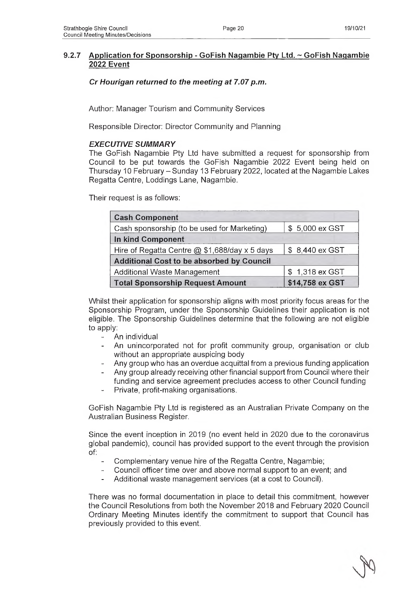# *Cr Hourigan returned to the meeting at 7.07 p.m.*

Author: Manager Tourism and Community Services

Responsible Director: Director Community and Planning

## *EXECUTIVE SUMMARY*

The GoFish Nagambie Pty Ltd have submitted a request for sponsorship from Council to be put towards the GoFish Nagambie 2022 Event being held on Thursday 10 February - Sunday 13 February 2022, located at the Nagambie Lakes Regatta Centre, Loddings Lane, Nagambie.

Their request is as follows:

| <b>Cash Component</b>                            |                 |  |  |
|--------------------------------------------------|-----------------|--|--|
| Cash sponsorship (to be used for Marketing)      | \$5,000 ex GST  |  |  |
| In kind Component                                |                 |  |  |
| Hire of Regatta Centre $@$ \$1,688/day x 5 days  | \$8,440 ex GST  |  |  |
| <b>Additional Cost to be absorbed by Council</b> |                 |  |  |
| Additional Waste Management                      | \$1,318 ex GST  |  |  |
| <b>Total Sponsorship Request Amount</b>          | \$14,758 ex GST |  |  |

Whilst their application for sponsorship aligns with most priority focus areas for the Sponsorship Program, under the Sponsorship Guidelines their application is not eligible. The Sponsorship Guidelines determine that the following are not eligible to apply:

- An individual
- An unincorporated not for profit community group, organisation or club without an appropriate auspicing body
- Any group who has an overdue acquittal from a previous funding application
- Any group already receiving other financial support from Council where their funding and service agreement precludes access to other Council funding
- Private, profit-making organisations.

GoFish Nagambie Pty Ltd is registered as an Australian Private Company on the Australian Business Register.

Since the event inception in 2019 (no event held in 2020 due to the coronavirus global pandemic), council has provided support to the event through the provision  $of:$ 

- Complementary venue hire of the Regatta Centre, Nagambie;
- Council officer time over and above normal support to an event; and
- Additional waste management services (at a cost to Council).

There was no formal documentation in place to detail this commitment, however the Council Resolutions from both the November 2018 and February 2020 Council Ordinary Meeting Minutes identify the commitment to support that Council has previously provided to this event.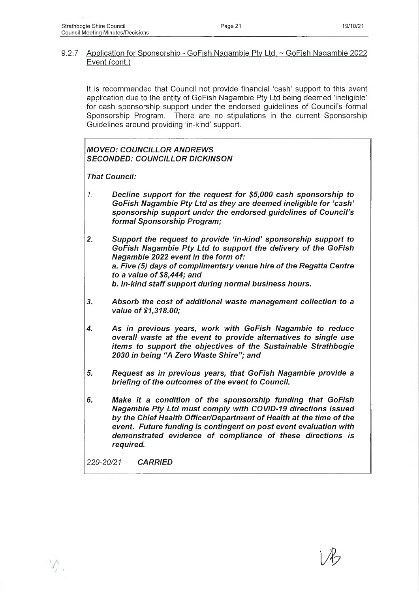#### 9.2.7 Application for Sponsorship - GoFish Nagambie Pty Ltd. ~ GoFish Naqambie 2022 Event (cont.)

It is recommended that Council not provide financial 'cash' support to this event application due to the entity of GoFish Nagambie Pty Ltd being deemed 'ineligible' for cash sponsorship support under the endorsed guidelines of Council's formal Sponsorship Program. There are no stipulations in the current Sponsorship Guidelines around providing 'in-kind' support.

# *MOVED: COUNCILLOR ANDREWS SECONDED: COUNCILLOR DICKINSON*

*That Council:*

*1. Decline support for the request for \$5,000 cash sponsorship to GoFish Nagambie Pty Ltd as they are deemed ineligible for 'cash' sponsorship support under the endorsed guidelines of Council's formal Sponsorship Program;*

*2. Support the request to provide 'in-kind' sponsorship support to GoFish Nagambie Pty Ltd to support the delivery of the GoFish Nagambie 2022 event in the form of: a. Five (5) days of complimentary venue hire of the Regatta Centre to a value of \$8,444; and b. In-kind staff support during normal business hours.*

- *3. Absorb the cost of additional waste management collection to a value of \$1,318.00;*
- *4. As in previous years, work with GoFish Nagambie to reduce overall waste at the event to provide alternatives to single use items to support the objectives of the Sustainable Strathbogie 2030 in being "A Zero Waste Shire"; and*
- *5. Request as in previous years, that GoFish Nagambie provide a briefing of the outcomes of the event to Council.*
- *6. Make it a condition of the sponsorship funding that GoFish Nagambie Pty Ltd must comply with COVID-19 directions issued by the Chief Health Officer/Department of Health at the time of the event. Future funding is contingent on post event evaluation with demonstrated evidence of compliance of these directions is required.*

*\Jh*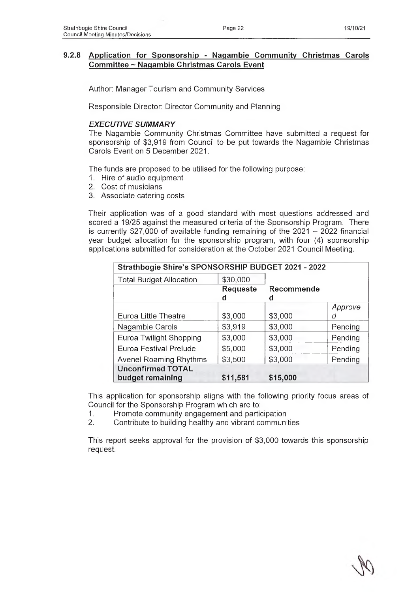# **9.2.8 Application for Sponsorship - Naqambie Community Christmas Carols Committee ~ Nagambie Christmas Carols Event**

Author: Manager Tourism and Community Services

Responsible Director: Director Community and Planning

# *EXECUTIVE SUMMARY*

The Nagambie Community Christmas Committee have submitted a request for sponsorship of \$3,919 from Council to be put towards the Nagambie Christmas Carols Event on 5 December 2021.

The funds are proposed to be utilised for the following purpose:

- 1. Hire of audio equipment
- 2. Cost of musicians
- 3. Associate catering costs

Their application was of a good standard with most questions addressed and scored a 19/25 against the measured criteria of the Sponsorship Program. There is currently  $$27,000$  of available funding remaining of the  $2021 - 2022$  financial year budget allocation for the sponsorship program, with four (4) sponsorship applications submitted for consideration at the October 2021 Council Meeting.

| Strathbogie Shire's SPONSORSHIP BUDGET 2021 - 2022 |          |                   |         |
|----------------------------------------------------|----------|-------------------|---------|
| <b>Total Budget Allocation</b>                     | \$30,000 |                   |         |
|                                                    | Requeste | <b>Recommende</b> |         |
|                                                    | d        | d                 |         |
|                                                    |          |                   | Approve |
| Euroa Little Theatre                               | \$3,000  | \$3,000           | d       |
| Nagambie Carols                                    | \$3,919  | \$3,000           | Pending |
| Euroa Twilight Shopping                            | \$3,000  | \$3,000           | Pending |
| Euroa Festival Prelude                             | \$5,000  | \$3,000           | Pending |
| Avenel Roaming Rhythms                             | \$3,500  | \$3,000           | Pending |
| <b>Unconfirmed TOTAL</b>                           |          |                   |         |
| budget remaining                                   | \$11,581 | \$15,000          |         |

This application for sponsorship aligns with the following priority focus areas of Council for the Sponsorship Program which are to:

1. Promote community engagement and participation

2. Contribute to building healthy and vibrant communities

This report seeks approval for the provision of \$3,000 towards this sponsorship request.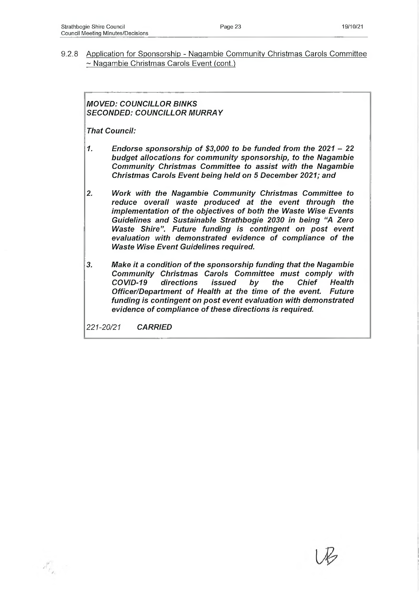9.2.8 Application for Sponsorship - Nagambie Community Christmas Carols Committee ~ Nagambie Christmas Carols Event (cont.)

# *MOVED: COUNCILLOR BINKS SECONDED: COUNCILLOR MURRAY*

*That Council:*

- *1. Endorse sponsorship of \$3,000 to be funded from the 2021 22 budget allocations for community sponsorship, to the Nagambie Community Christmas Committee to assist with the Nagambie Christmas Carols Event being held on 5 December 2021; and*
- *2. Work with the Nagambie Community Christmas Committee to reduce overall waste produced at the event through the implementation of the objectives of both the Waste Wise Events Guidelines and Sustainable Strathbogie 2030 in being "A Zero Waste Shire". Future funding is contingent on post event evaluation with demonstrated evidence of compliance of the Waste Wise Event Guidelines required.*
- *3. Make it a condition of the sponsorship funding that the Nagambie Community Christmas Carols Committee must comply with COVID-19 directions issued by the Chief Health Officer/Department of Health at the time of the event. Future funding is contingent on post event evaluation with demonstrated evidence of compliance of these directions is required.*

*221-20/21 CARRIED*

 $\mathcal{N}_{P_{\mathcal{L}}}$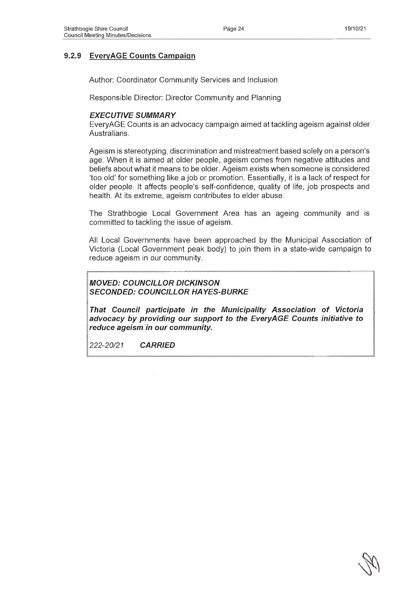# **9.2.9 EveryAGE Counts Campaign**

Author: Coordinator Community Services and Inclusion

Responsible Director: Director Community and Planning

#### *EXECUTIVE SUMMARY*

EveryAGE Counts is an advocacy campaign aimed at tackling ageism against older Australians.

Ageism is stereotyping, discrimination and mistreatment based solely on a person's age. When it is aimed at older people, ageism comes from negative attitudes and beliefs about what it means to be older. Ageism exists when someone is considered 'too old' for something like a job or promotion. Essentially, it is a lack of respect for older people. It affects people's self-confidence, quality of life, job prospects and health. At its extreme, ageism contributes to elder abuse.

The Strathbogie Local Government Area has an ageing community and is committed to tackling the issue of ageism.

All Local Governments have been approached by the Municipal Association of Victoria (Local Government peak body) to join them in a state-wide campaign to reduce ageism in our community.

*MOVED: COUNCILLOR DICKINSON SECONDED: COUNCILLOR HAYES-BURKE*

*That Council participate in the Municipality Association of Victoria advocacy by providing our support to the EveryAGE Counts initiative to reduce ageism in our community.*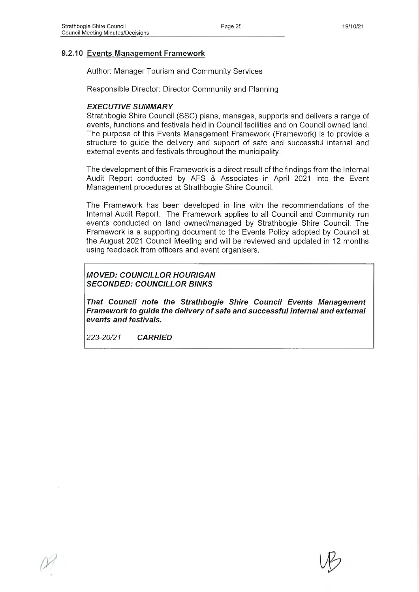#### **9.2.10 Events Management Framework**

Author: Manager Tourism and Community Services

Responsible Director: Director Community and Planning

#### *EXECUTIVE SUMMARY*

Strathbogie Shire Council (SSC) plans, manages, supports and delivers a range of events, functions and festivals held in Council facilities and on Council owned land. The purpose of this Events Management Framework (Framework) is to provide a structure to guide the delivery and support of safe and successful internal and external events and festivals throughout the municipality.

The development of this Framework is a direct result of the findings from the Internal Audit Report conducted by AFS & Associates in April 2021 into the Event Management procedures at Strathbogie Shire Council.

The Framework has been developed in line with the recommendations of the Internal Audit Report. The Framework applies to all Council and Community run events conducted on land owned/managed by Strathbogie Shire Council. The Framework is a supporting document to the Events Policy adopted by Council at the August 2021 Council Meeting and will be reviewed and updated in 12 months using feedback from officers and event organisers.

#### *MOVED: COUNCILLOR HOURIGAN SECONDED: COUNCILLOR BINKS*

*That Council note the Strathbogie Shire Council Events Management Framework to guide the delivery of safe and successful internal and external events and festivals.*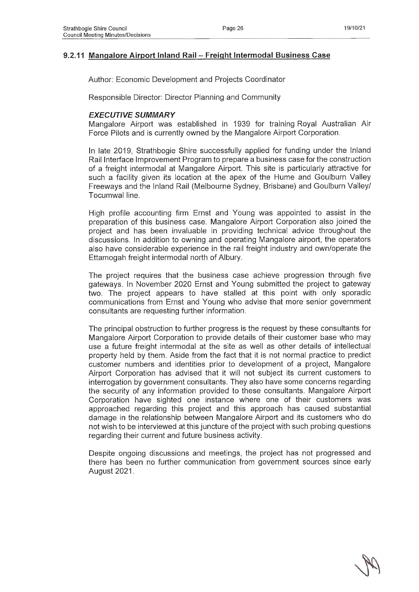## **9.2.11 Mangalore Airport Inland Rail - Freight Intermodal Business Case**

Author: Economic Development and Projects Coordinator

Responsible Director: Director Planning and Community

#### *EXECUTIVE SUMMARY*

Mangalore Airport was established in 1939 for training Royal Australian Air Force Pilots and is currently owned by the Mangalore Airport Corporation.

In late 2019, Strathbogie Shire successfully applied for funding under the Inland Rail Interface Improvement Program to prepare a business case for the construction of a freight intermodal at Mangalore Airport. This site is particularly attractive for such a facility given its location at the apex of the Hume and Goulburn Valley Freeways and the Inland Rail (Melbourne Sydney, Brisbane) and Goulburn Valley/ Tocumwal line.

High profile accounting firm Ernst and Young was appointed to assist in the preparation of this business case. Mangalore Airport Corporation also joined the project and has been invaluable in providing technical advice throughout the discussions. In addition to owning and operating Mangalore airport, the operators also have considerable experience in the rail freight industry and own/operate the Ettamogah freight intermodal north of Albury.

The project requires that the business case achieve progression through five gateways. In November 2020 Ernst and Young submitted the project to gateway two. The project appears to have stalled at this point with only sporadic communications from Ernst and Young who advise that more senior government consultants are requesting further information.

The principal obstruction to further progress is the request by these consultants for Mangalore Airport Corporation to provide details of their customer base who may use a future freight intermodal at the site as well as other details of intellectual property held by them. Aside from the fact that it is not normal practice to predict customer numbers and identities prior to development of a project, Mangalore Airport Corporation has advised that it will not subject its current customers to interrogation by government consultants. They also have some concerns regarding the security of any information provided to these consultants. Mangalore Airport Corporation have sighted one instance where one of their customers was approached regarding this project and this approach has caused substantial damage in the relationship between Mangalore Airport and its customers who do not wish to be interviewed at this juncture of the project with such probing questions regarding their current and future business activity.

Despite ongoing discussions and meetings, the project has not progressed and there has been no further communication from government sources since early August 2021.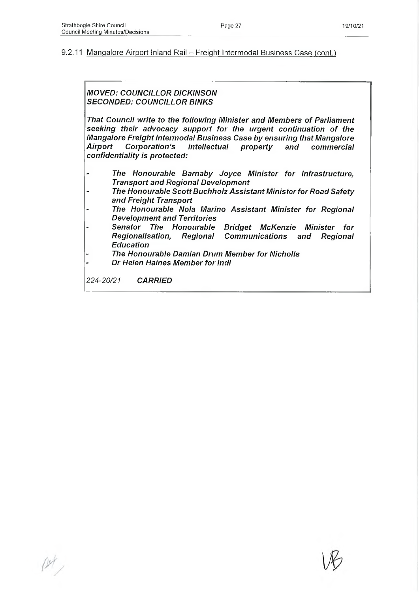#### 9.2.11 Mangalore Airport Inland Rail - Freight Intermodal Business Case (cont.)

#### *MOVED: COUNCILLOR DICKINSON SECONDED: COUNCILLOR BINKS*

*That Council write to the following Minister and Members of Parliament seeking their advocacy support for the urgent continuation of the Mangalore Freight Intermodal Business Case by ensuring that Mangalore Airport Corporation's Intellectual property and commercial confidentiality Is protected:*

- *The Honourable Barnaby Joyce Minister for Infrastructure, Transport and Regional Development*
- *The Honourable Scott Buchholz Assistant Minister for Road Safety and Freight Transport*
- *The Honourable Nola Marino Assistant Minister for Regional Development and Territories*
- *Senator The Honourable Bridget McKenzie Minister for Régionalisation, Regional Communications and Regional Education*
- *The Honourable Damian Drum Member for Nicholls*
- *Dr Helen Haines Member for Indi*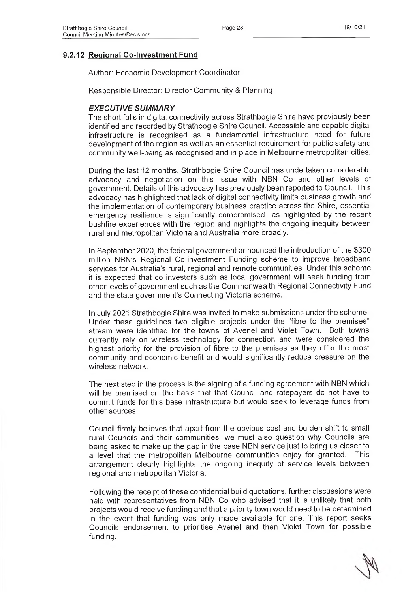## **9.2.12 Regional Co-Investment Fund**

Author: Economic Development Coordinator

Responsible Director: Director Community & Planning

#### *EXECUTIVE SUMMARY*

The short falls in digital connectivity across Strathbogie Shire have previously been identified and recorded by Strathbogie Shire Council. Accessible and capable digital infrastructure is recognised as a fundamental infrastructure need for future development of the region as well as an essential requirement for public safety and community well-being as recognised and in place in Melbourne metropolitan cities.

During the last 12 months, Strathbogie Shire Council has undertaken considerable advocacy and negotiation on this issue with NBN Co and other levels of government. Details of this advocacy has previously been reported to Council. This advocacy has highlighted that lack of digital connectivity limits business growth and the implementation of contemporary business practice across the Shire, essential emergency resilience is significantly compromised as highlighted by the recent bushfire experiences with the region and highlights the ongoing inequity between rural and metropolitan Victoria and Australia more broadly.

In September 2020, the federal government announced the introduction of the \$300 million NBN's Regional Co-investment Funding scheme to improve broadband services for Australia's rural, regional and remote communities. Under this scheme it is expected that co investors such as local government will seek funding from other levels of government such as the Commonwealth Regional Connectivity Fund and the state government's Connecting Victoria scheme.

In July 2021 Strathbogie Shire was invited to make submissions under the scheme. Under these guidelines two eligible projects under the "fibre to the premises" stream were identified for the towns of Avenel and Violet Town. Both towns currently rely on wireless technology for connection and were considered the highest priority for the provision of fibre to the premises as they offer the most community and economic benefit and would significantly reduce pressure on the wireless network.

The next step in the process is the signing of a funding agreement with NBN which will be premised on the basis that that Council and ratepayers do not have to commit funds for this base infrastructure but would seek to leverage funds from other sources.

Council firmly believes that apart from the obvious cost and burden shift to small rural Councils and their communities, we must also question why Councils are being asked to make up the gap in the base NBN service just to bring us closer to a level that the metropolitan Melbourne communities enjoy for granted. This arrangement clearly highlights the ongoing inequity of service levels between regional and metropolitan Victoria.

Following the receipt of these confidential build quotations, further discussions were held with representatives from NBN Co who advised that it is unlikely that both projects would receive funding and that a priority town would need to be determined in the event that funding was only made available for one. This report seeks Councils endorsement to prioritise Avenel and then Violet Town for possible funding.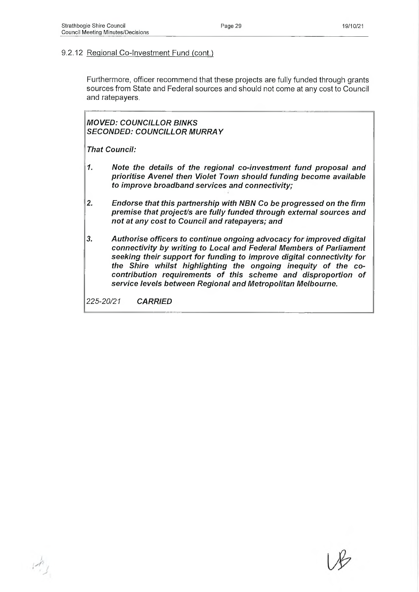#### 9.2.12 Regional Co-Investment Fund (cont.)

Furthermore, officer recommend that these projects are fully funded through grants sources from State and Federal sources and should not come at any cost to Council and ratepayers.

*MOVED: COUNCILLOR BINKS SECONDED: COUNCILLOR MURRAY*

*That Council:*

- *1. Note the details of the regional co-investment fund proposal and prioritise Avenel then Violet Town should funding become available to improve broadband services and connectivity;*
- *2. Endorse that this partnership with NBN Co be progressed on the firm premise that project/s are fully funded through external sources and not at any cost to Council and ratepayers; and*
- *3. Authorise officers to continue ongoing advocacy for improved digital connectivity by writing to Local and Federal Members of Parliament seeking their support for funding to improve digital connectivity for the Shire whilst highlighting the ongoing inequity of the cocontribution requirements of this scheme and disproportion of service levels between Regional and Metropolitan Melbourne.*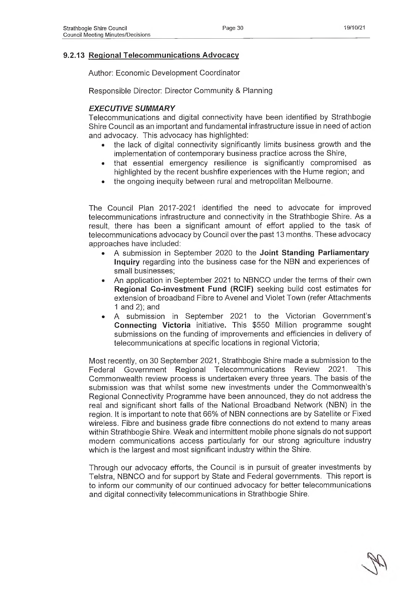## **9.2.13 Regional Telecommunications Advocacy**

Author: Economic Development Coordinator

Responsible Director: Director Community & Planning

## *EXECUTIVE SUMMARY*

Telecommunications and digital connectivity have been identified by Strathbogie Shire Council as an important and fundamental infrastructure issue in need of action and advocacy. This advocacy has highlighted:

- the lack of digital connectivity significantly limits business growth and the implementation of contemporary business practice across the Shire,
- that essential emergency resilience is significantly compromised as highlighted by the recent bushfire experiences with the Hume region; and
- the ongoing inequity between rural and metropolitan Melbourne.

The Council Plan 2017-2021 identified the need to advocate for improved telecommunications infrastructure and connectivity in the Strathbogie Shire. As a result, there has been a significant amount of effort applied to the task of telecommunications advocacy by Council over the past 13 months. These advocacy approaches have included:

- A submission in September 2020 to the **Joint Standing Parliamentary Inquiry** regarding into the business case for the NBN and experiences of small businesses;
- An application in September 2021 to NBNCO under the terms of their own **Regional Co-investment Fund (RCIF)** seeking build cost estimates for extension of broadband Fibre to Avenel and Violet Town (refer Attachments 1 and 2); and
- A submission in September 2021 to the Victorian Government's **Connecting Victoria** initiative. This \$550 Million programme sought submissions on the funding of improvements and efficiencies in delivery of telecommunications at specific locations in regional Victoria;

Most recently, on 30 September 2021, Strathbogie Shire made a submission to the Federal Government Regional Telecommunications Review 2021. This Commonwealth review process is undertaken every three years. The basis of the submission was that whilst some new investments under the Commonwealth's Regional Connectivity Programme have been announced, they do not address the real and significant short falls of the National Broadband Network (NBN) in the region. It is important to note that 66% of NBN connections are by Satellite or Fixed wireless. Fibre and business grade fibre connections do not extend to many areas within Strathbogie Shire. Weak and intermittent mobile phone signals do not support modern communications access particularly for our strong agriculture industry which is the largest and most significant industry within the Shire.

Through our advocacy efforts, the Council is in pursuit of greater investments by Telstra, NBNCO and for support by State and Federal governments. This report is to inform our community of our continued advocacy for better telecommunications and digital connectivity telecommunications in Strathbogie Shire.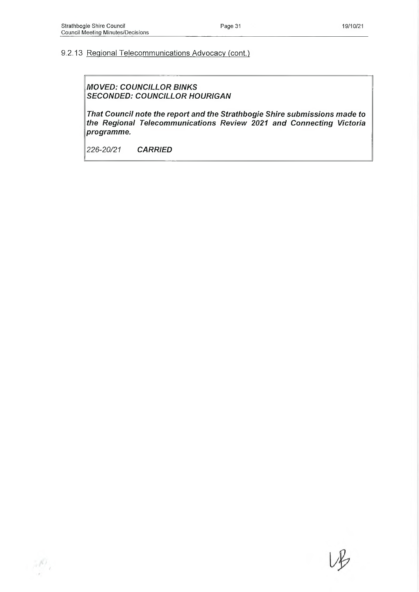# 9.2.13 Regional Telecommunications Advocacy (cont.)

*MOVED: COUNCILLOR BINKS SECONDED: COUNCILLOR HOURIGAN*

*That Council note the report and the Strathbogie Shire submissions made to the Regional Telecommunications Review 2021 and Connecting Victoria programme.*

 $\mathcal{P}_i$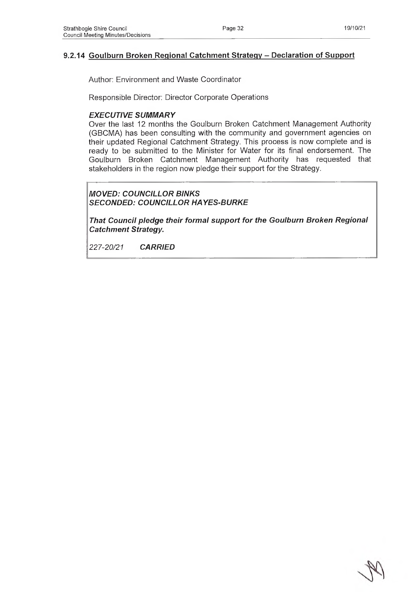## **9.2.14 Goulburn Broken Regional Catchment Strategy - Declaration of Support**

Author: Environment and Waste Coordinator

Responsible Director: Director Corporate Operations

#### *EXECUTIVE SUMMARY*

Over the last 12 months the Goulburn Broken Catchment Management Authority (GBCMA) has been consulting with the community and government agencies on their updated Regional Catchment Strategy. This process is now complete and is ready to be submitted to the Minister for Water for its final endorsement. The Goulburn Broken Catchment Management Authority has requested that stakeholders in the region now pledge their support for the Strategy.

## *MOVED: COUNCILLOR BINKS SECONDED: COUNCILLOR HAYES-BURKE*

*That Council pledge their formal support for the Goulburn Broken Regional Catchment Strategy.*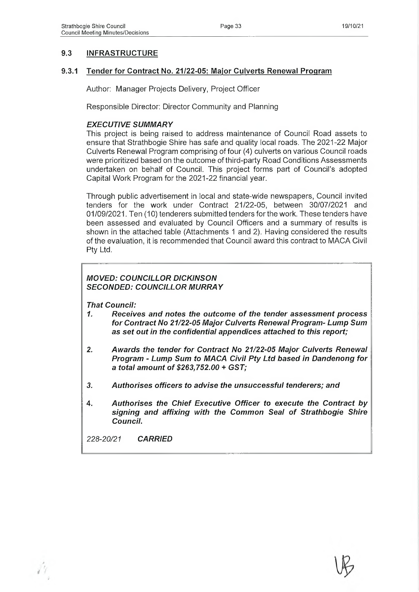# **9.3 INFRASTRUCTURE**

#### **9.3.1 Tender for Contract No. 21/22-05: Major Culverts Renewal Program**

Author: Manager Projects Delivery, Project Officer

Responsible Director: Director Community and Planning

#### *EXECUTIVE SUMMARY*

This project is being raised to address maintenance of Council Road assets to ensure that Strathbogie Shire has safe and quality local roads. The 2021-22 Major Culverts Renewal Program comprising of four (4) culverts on various Council roads were prioritized based on the outcome of third-party Road Conditions Assessments undertaken on behalf of Council. This project forms part of Council's adopted Capital Work Program for the 2021-22 financial year.

Through public advertisement in local and state-wide newspapers, Council invited tenders for the work under Contract 21/22-05, between 30/07/2021 and 01/09/2021. Ten (10) tenderers submitted tenders for the work. These tenders have been assessed and evaluated by Council Officers and a summary of results is shown in the attached table (Attachments 1 and 2). Having considered the results of the evaluation, it is recommended that Council award this contract to MACA Civil Pty Ltd.

# *MOVED: COUNCILLOR DICKINSON SECONDED: COUNCILLOR MURRAY*

*That Council:*

- *1. Receives and notes the outcome of the tender assessment process for Contract No 21/22-05 Major Culverts Renewal Program- Lump Sum as set out in the confidential appendices attached to this report;*
- *2. Awards the tender for Contract No 21/22-05 Major Culverts Renewal Program - Lump Sum to MACA Civil Pty Ltd based In Dandenong for a total amount of \$263,752.00* **+** *GST;*
- *3. Authorises officers to advise the unsuccessful tenderers; and*
- **4.** *Authorises the Chief Executive Officer to execute the Contract by signing and affixing with the Common Seal of Strathbogie Shire Council.*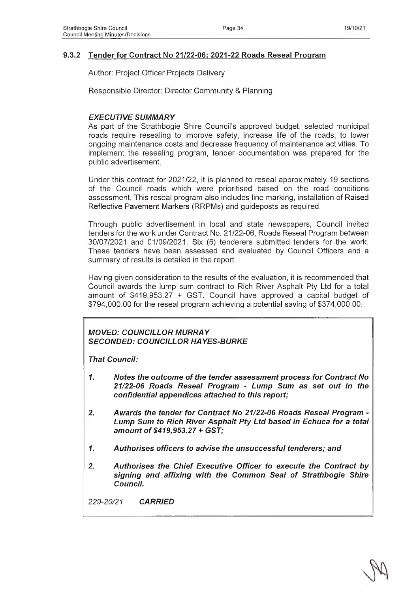## **9.3.2 Tender for Contract No 21/22-06: 2021-22 Roads Reseal Program**

Author: Project Officer Projects Delivery

Responsible Director: Director Community & Planning

## *EXECUTIVE SUMMARY*

As part of the Strathbogie Shire Council's approved budget, selected municipal roads require resealing to improve safety, increase life of the roads, to lower ongoing maintenance costs and decrease frequency of maintenance activities. To implement the resealing program, tender documentation was prepared for the public advertisement.

Under this contract for 2021/22, it is planned to reseal approximately 19 sections of the Council roads which were prioritised based on the road conditions assessment. This reseal program also includes line marking, installation of Raised Reflective Pavement Markers (RRPMs) and guideposts as required.

Through public advertisement in local and state newspapers, Council invited tenders for the work under Contract No. 21/22-06, Roads Reseal Program between 30/07/2021 and 01/09/2021. Six (6) tenderers submitted tenders for the work. These tenders have been assessed and evaluated by Council Officers and a summary of results is detailed in the report.

Having given consideration to the results of the evaluation, it is recommended that Council awards the lump sum contract to Rich River Asphalt Pty Ltd for a total amount of \$419,953.27 + GST. Council have approved a capital budget of \$794,000.00 for the reseal program achieving a potential saving of \$374,000.00.

# *MOVED: COUNCILLOR MURRAY SECONDED: COUNCILLOR HAYES-BURKE*

*That Council:*

- *1. Notes the outcome of the tender assessment process for Contract No 21/22-06 Roads Reseal Program - Lump Sum as set out In the confidential appendices attached to this report;*
- *2. Awards the tender for Contract No 21/22-06 Roads Reseal Program - Lump Sum to Rich River Asphalt Pty Ltd based in Echuca for a total amount of \$419,953.27* **+** *GST;*
- *1. Authorises officers to advise the unsuccessful tenderers; and*
- *2. Authorises the Chief Executive Officer to execute the Contract by signing and affixing with the Common Seal of Strathbogie Shire Council.*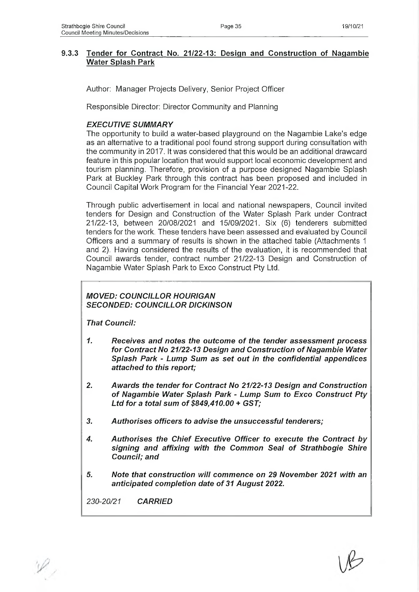## **9.3.3 Tender for Contract No. 21/22-13: Design and Construction of Nagambie Water Splash Park**

Author: Manager Projects Delivery, Senior Project Officer

Responsible Director: Director Community and Planning

## *EXECUTIVE SUMMARY*

The opportunity to build a water-based playground on the Nagambie Lake's edge as an alternative to a traditional pool found strong support during consultation with the community in 2017. It was considered that this would be an additional drawcard feature in this popular location that would support local economic development and tourism planning. Therefore, provision of a purpose designed Nagambie Splash Park at Buckley Park through this contract has been proposed and included in Council Capital Work Program for the Financial Year 2021-22.

Through public advertisement in local and national newspapers, Council invited tenders for Design and Construction of the Water Splash Park under Contract 21/22-13, between 20/08/2021 and 15/09/2021. Six (6) tenderers submitted tenders for the work. These tenders have been assessed and evaluated by Council Officers and a summary of results is shown in the attached table (Attachments 1 and 2). Having considered the results of the evaluation, it is recommended that Council awards tender, contract number 21/22-13 Design and Construction of Nagambie Water Splash Park to Exco Construct Pty Ltd.

## *MOVED: COUNCILLOR HOURIGAN SECONDED: COUNCILLOR DICKINSON*

*That Council:*

- *1. Receives and notes the outcome of the tender assessment process for Contract No 21/22-13 Design and Construction of Nagambie Water Splash Park - Lump Sum as set out in the confidential appendices attached to this report;*
- *2. Awards the tender for Contract No 21/22-13 Design and Construction of Nagambie Water Splash Park - Lump Sum to Exco Construct Pty Ltd for a total sum of \$849,410.00 + GST;*
- *3. Authorises officers to advise the unsuccessful tenderers;*
- *4. Authorises the Chief Executive Officer to execute the Contract by signing and affixing with the Common Seal of Strathbogie Shire Council; and*
- *5. Note that construction will commence on 29 November 2021 with an anticipated completion date of 31 August 2022.*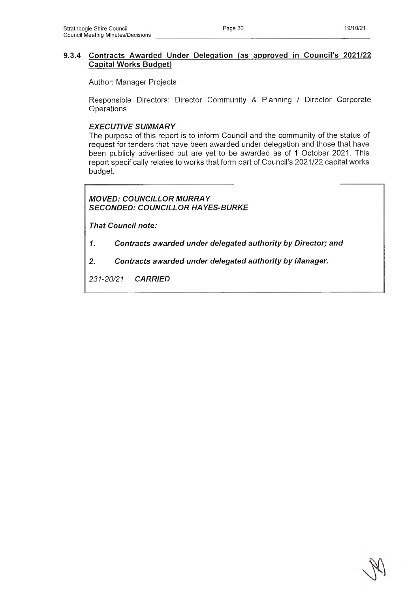#### **9.3.4 Contracts Awarded Under Delegation (as approved in Council's 2021/22 Capital Works Budget)**

Author: Manager Projects

Responsible Directors: Director Community & Planning / Director Corporate **Operations** 

#### *EXECUTIVE SUMMARY*

The purpose of this report is to inform Council and the community of the status of request for tenders that have been awarded under delegation and those that have been publicly advertised but are yet to be awarded as of 1 October 2021. This report specifically relates to works that form part of Council's 2021/22 capital works budget.

# *MOVED: COUNCILLOR MURRAY SECONDED: COUNCILLOR HAYES-BURKE*

*That Council note:*

- *1. Contracts awarded under delegated authority by Director; and*
- *2. Contracts awarded under delegated authority by Manager.*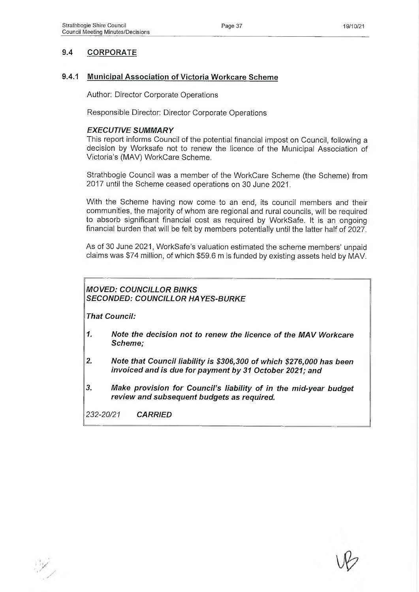# **9.4 CORPORATE**

#### **9.4.1 Municipal Association of Victoria Workcare Scheme**

Author: Director Corporate Operations

Responsible Director: Director Corporate Operations

#### *EXECUTIVE SUMMARY*

This report informs Council of the potential financial impost on Council, following a decision by Worksafe not to renew the licence of the Municipal Association of Victoria's (MAV) WorkCare Scheme.

Strathbogie Council was a member of the WorkCare Scheme (the Scheme) from 2017 until the Scheme ceased operations on 30 June 2021.

With the Scheme having now come to an end, its council members and their communities, the majority of whom are regional and rural councils, will be required to absorb significant financial cost as required by WorkSafe. It is an ongoing financial burden that will be felt by members potentially until the latter half of 2027.

As of 30 June 2021, WorkSafe's valuation estimated the scheme members' unpaid claims was \$74 million, of which \$59.6 m is funded by existing assets held by MAV.

## *MOVED: COUNCILLOR BINKS SECONDED: COUNCILLOR HAYES-BURKE*

*That Council:*

- *1. Note the decision not to renew the licence of the MAV Workcare Scheme;*
- *2. Note that Council liability is \$306,300 of which \$276,000 has been invoiced and is due for payment by 31 October 2021; and*
- *3. Make provision for Council's liability of in the mid-year budget review and subsequent budgets as required.*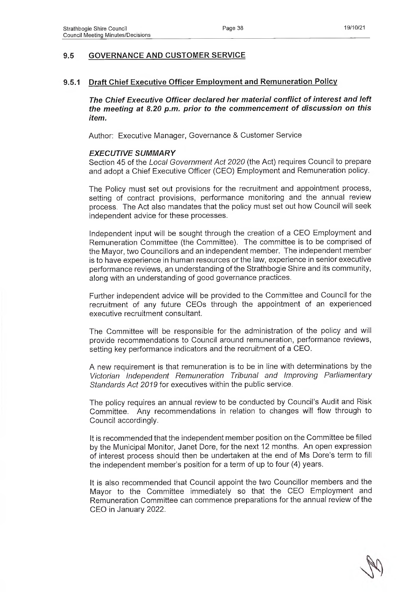# **9.5 GOVERNANCE AND CUSTOMER SERVICE**

#### **9.5.1 Draft Chief Executive Officer Employment and Remuneration Policy**

*The Chief Executive Officer declared her material conflict of interest and left the meeting at 8.20 p.m. prior to the commencement of discussion on this item.*

Author: Executive Manager, Governance & Customer Service

#### *EXECUTIVE SUMMARY*

Section 45 of the *Local Government Act 2020* (the Act) requires Council to prepare and adopt a Chief Executive Officer (CEO) Employment and Remuneration policy.

The Policy must set out provisions for the recruitment and appointment process, setting of contract provisions, performance monitoring and the annual review process. The Act also mandates that the policy must set out how Council will seek independent advice for these processes.

Independent input will be sought through the creation of a CEO Employment and Remuneration Committee (the Committee). The committee is to be comprised of the Mayor, two Councillors and an independent member. The independent member is to have experience in human resources or the law, experience in senior executive performance reviews, an understanding of the Strathbogie Shire and its community, along with an understanding of good governance practices.

Further independent advice will be provided to the Committee and Council for the recruitment of any future CEOs through the appointment of an experienced executive recruitment consultant.

The Committee will be responsible for the administration of the policy and will provide recommendations to Council around remuneration, performance reviews, setting key performance indicators and the recruitment of a CEO.

A new requirement is that remuneration is to be in line with determinations by the *Victorian Independent Remuneration Tribunal and Improving Parliamentary Standards Act 2019* for executives within the public service.

The policy requires an annual review to be conducted by Council's Audit and Risk Committee. Any recommendations in relation to changes will flow through to Council accordingly.

It is recommended that the independent member position on the Committee be filled by the Municipal Monitor, Janet Dore, for the next 12 months. An open expression of interest process should then be undertaken at the end of Ms Dore's term to fill the independent member's position for a term of up to four (4) years.

It is also recommended that Council appoint the two Councillor members and the Mayor to the Committee immediately so that the CEO Employment and Remuneration Committee can commence preparations for the annual review of the CEO in January 2022.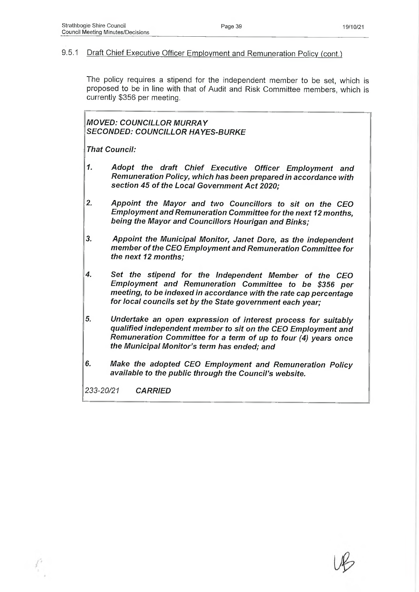## 9.5.1 Draft Chief Executive Officer Employment and Remuneration Policy (cont.)

The policy requires a stipend for the independent member to be set, which is proposed to be in line with that of Audit and Risk Committee members, which is currently \$356 per meeting.

*MOVED: COUNCILLOR MURRAY SECONDED: COUNCILLOR HAYES-BURKE*

*That Council:*

- *1. Adopt the draft Chief Executive Officer Employment and Remuneration Policy, which has been prepared in accordance with section 45 of the Local Government Act 2020;*
- *2. Appoint the Mayor and two Councillors to sit on the CEO Employment and Remuneration Committee for the next 12 months, being the Mayor and Councillors Hourigan and Binks;*
- *3. Appoint the Municipal Monitor, Janet Dore, as the independent member of the CEO Employment and Remuneration Committee for the next 12 months;*
- *4. Set the stipend for the Independent Member of the CEO Employment and Remuneration Committee to be \$356 per meeting, to be indexed in accordance with the rate cap percentage for local councils set by the State government each year;*
- *5. Undertake an open expression of interest process for suitably qualified independent member to sit on the CEO Employment and Remuneration Committee for a term of up to four (4) years once the Municipal Monitor's term has ended; and*
- *6. Make the adopted CEO Employment and Remuneration Policy available to the public through the Council's website.*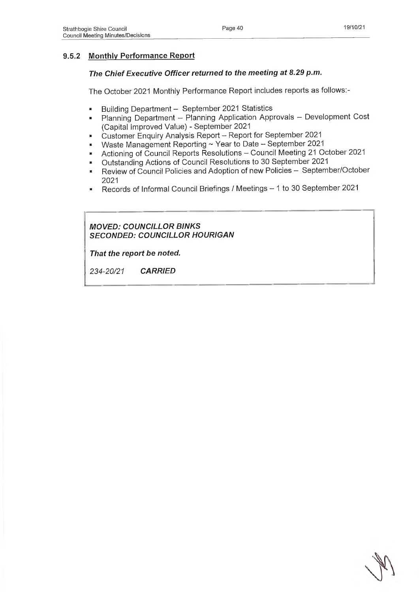# **9.5.2 Monthly Performance Report**

# *The Chief Executive Officer returned to the meeting at 8.29 p.m.*

The October 2021 Monthly Performance Report includes reports as follows:-

- Building Department September 2021 Statistics
- Planning Department Planning Application Approvals Development Cost (Capital Improved Value) - September 2021
- Customer Enquiry Analysis Report Report for September 2021
- Waste Management Reporting ~ Year to Date -- September 2021
- Actioning of Council Reports Resolutions Council Meeting 21 October 2021
- Outstanding Actions of Council Resolutions to 30 September 2021
- Review of Council Policies and Adoption of new Policies September/October 2021
- Records of Informal Council Briefings / Meetings 1 to 30 September 2021

# *MOVED: COUNCILLOR BINKS SECONDED: COUNCILLOR HOURIGAN*

*That the report be noted.*